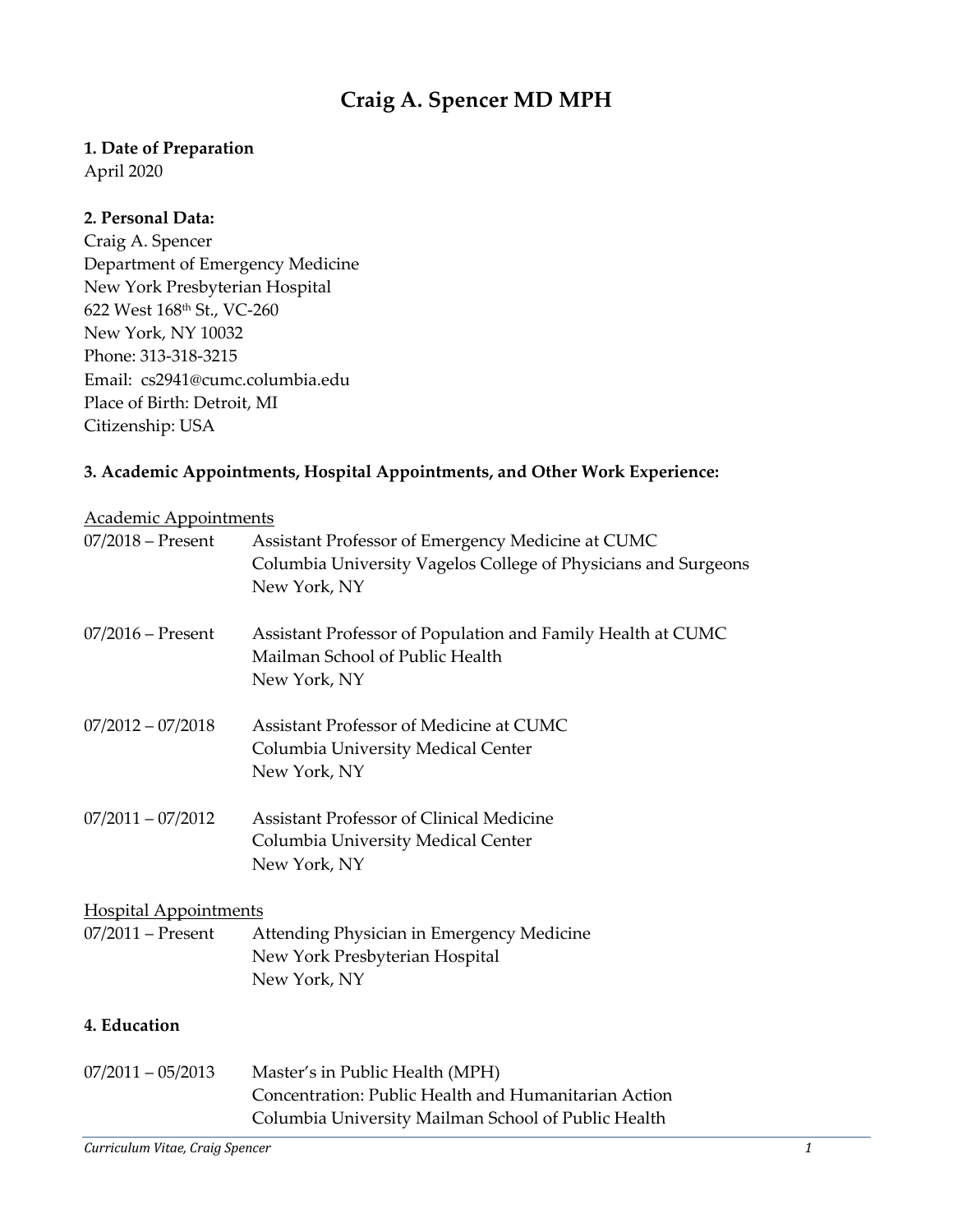# **Craig A. Spencer MD MPH**

#### **1. Date of Preparation**

April 2020

#### **2. Personal Data:**

Craig A. Spencer Department of Emergency Medicine New York Presbyterian Hospital 622 West 168th St., VC-260 New York, NY 10032 Phone: 313-318-3215 Email: cs2941@cumc.columbia.edu Place of Birth: Detroit, MI Citizenship: USA

### **3. Academic Appointments, Hospital Appointments, and Other Work Experience:**

#### Academic Appointments

| $07/2018$ – Present          | Assistant Professor of Emergency Medicine at CUMC<br>Columbia University Vagelos College of Physicians and Surgeons<br>New York, NY            |
|------------------------------|------------------------------------------------------------------------------------------------------------------------------------------------|
| $07/2016$ – Present          | Assistant Professor of Population and Family Health at CUMC<br>Mailman School of Public Health<br>New York, NY                                 |
| $07/2012 - 07/2018$          | Assistant Professor of Medicine at CUMC<br>Columbia University Medical Center<br>New York, NY                                                  |
| $07/2011 - 07/2012$          | <b>Assistant Professor of Clinical Medicine</b><br>Columbia University Medical Center<br>New York, NY                                          |
| <b>Hospital Appointments</b> |                                                                                                                                                |
| $07/2011$ – Present          | Attending Physician in Emergency Medicine<br>New York Presbyterian Hospital<br>New York, NY                                                    |
| 4. Education                 |                                                                                                                                                |
| $07/2011 - 05/2013$          | Master's in Public Health (MPH)<br>Concentration: Public Health and Humanitarian Action<br>Columbia University Mailman School of Public Health |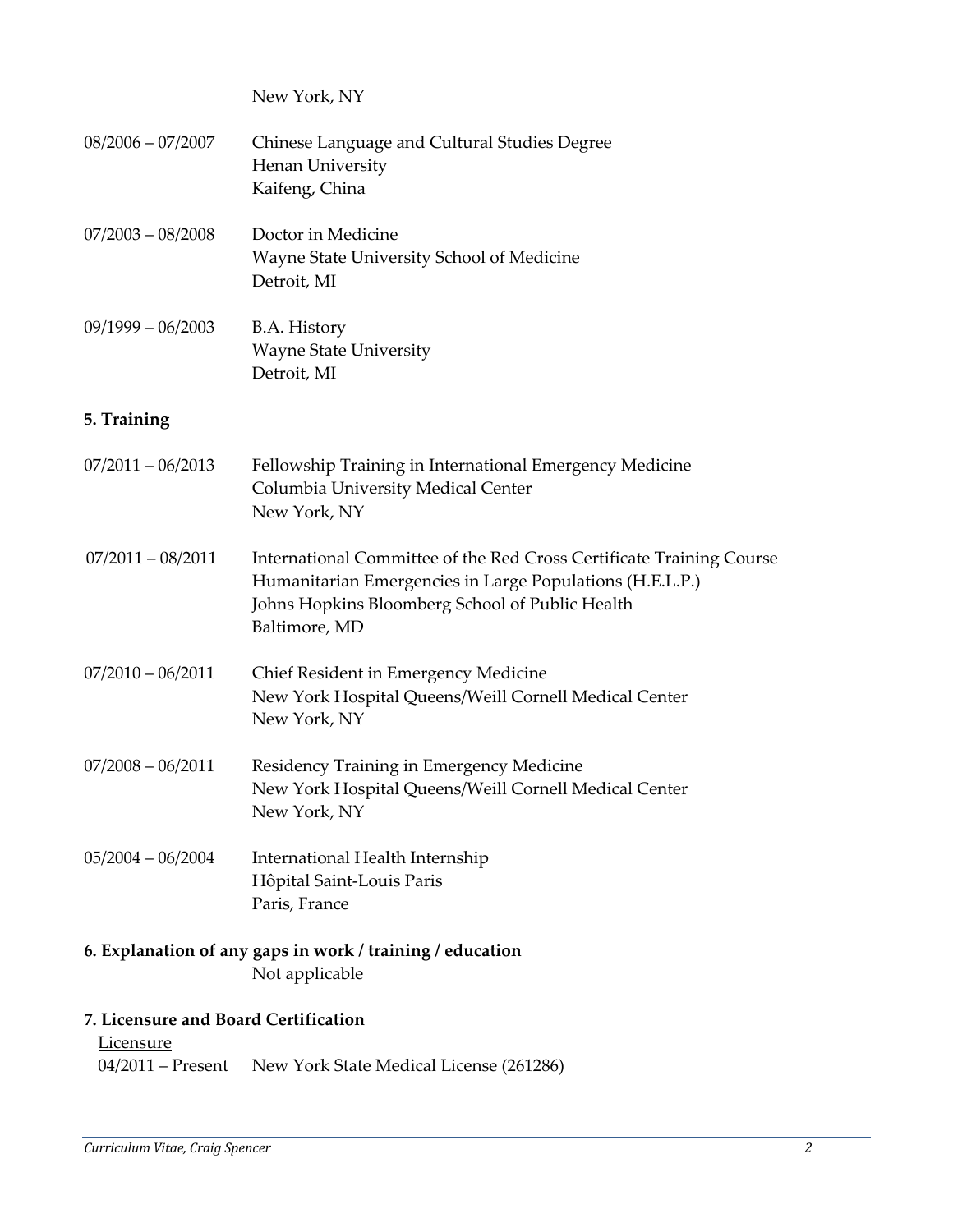New York, NY

| 08/2006 - 07/2007   | Chinese Language and Cultural Studies Degree<br>Henan University<br>Kaifeng, China                                                                                                                   |
|---------------------|------------------------------------------------------------------------------------------------------------------------------------------------------------------------------------------------------|
| 07/2003 - 08/2008   | Doctor in Medicine<br>Wayne State University School of Medicine<br>Detroit, MI                                                                                                                       |
| 09/1999 – 06/2003   | B.A. History<br><b>Wayne State University</b><br>Detroit, MI                                                                                                                                         |
| 5. Training         |                                                                                                                                                                                                      |
| 07/2011 - 06/2013   | Fellowship Training in International Emergency Medicine<br>Columbia University Medical Center<br>New York, NY                                                                                        |
| $07/2011 - 08/2011$ | International Committee of the Red Cross Certificate Training Course<br>Humanitarian Emergencies in Large Populations (H.E.L.P.)<br>Johns Hopkins Bloomberg School of Public Health<br>Baltimore, MD |
| 07/2010 - 06/2011   | Chief Resident in Emergency Medicine<br>New York Hospital Queens/Weill Cornell Medical Center<br>New York, NY                                                                                        |
| 07/2008 - 06/2011   | Residency Training in Emergency Medicine<br>New York Hospital Queens/Weill Cornell Medical Center<br>New York, NY                                                                                    |
| 05/2004 - 06/2004   | International Health Internship<br>Hôpital Saint-Louis Paris<br>Paris, France                                                                                                                        |
|                     | 6. Explanation of any gaps in work / training / education<br>Not applicable                                                                                                                          |

### **7. Licensure and Board Certification**

**Licensure** 04/2011 – Present New York State Medical License (261286)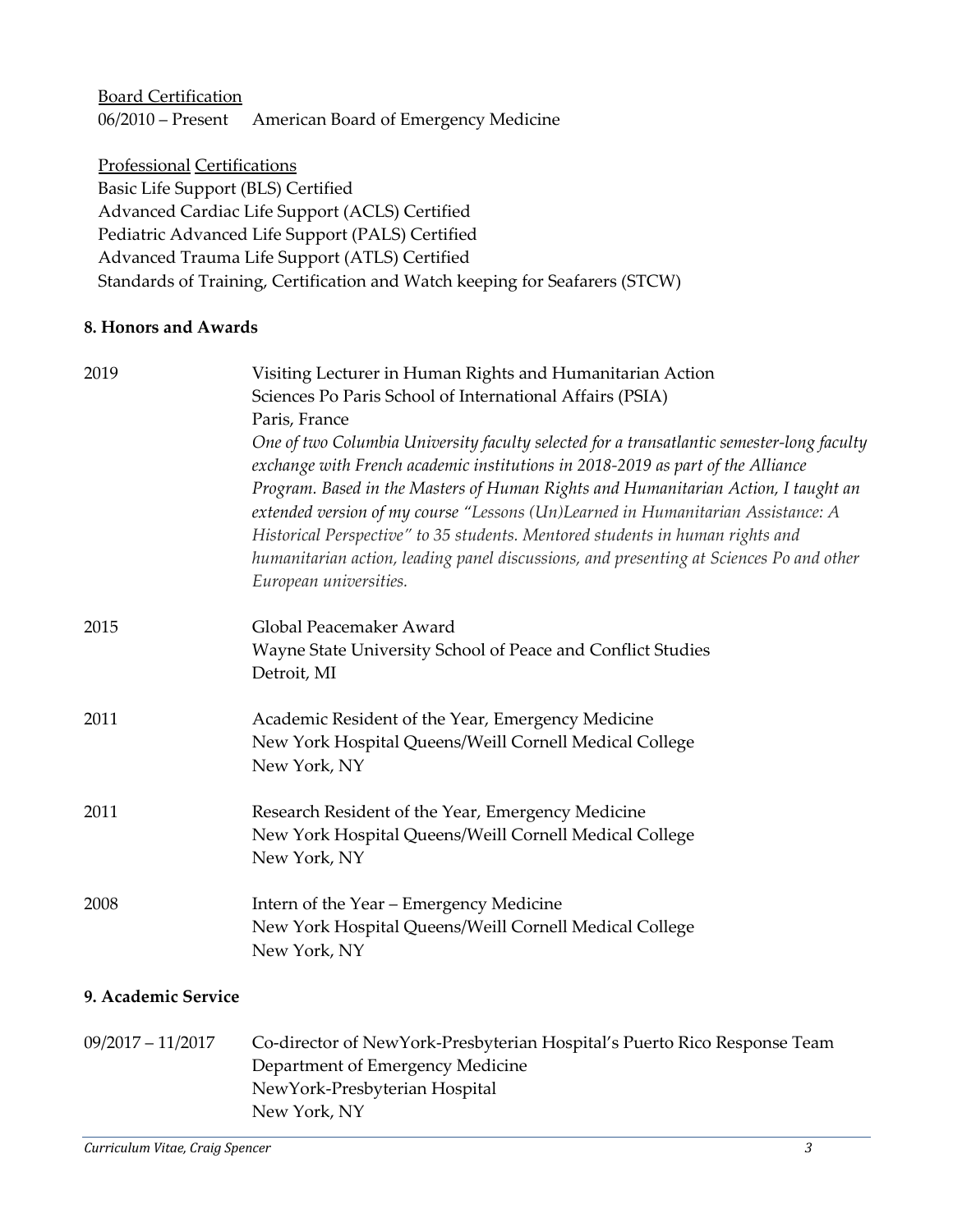Board Certification 06/2010 – Present American Board of Emergency Medicine

Professional Certifications Basic Life Support (BLS) Certified Advanced Cardiac Life Support (ACLS) Certified Pediatric Advanced Life Support (PALS) Certified Advanced Trauma Life Support (ATLS) Certified Standards of Training, Certification and Watch keeping for Seafarers (STCW)

#### **8. Honors and Awards**

| 2019                | Visiting Lecturer in Human Rights and Humanitarian Action<br>Sciences Po Paris School of International Affairs (PSIA)<br>Paris, France                                                                                                                                                                                                                                                                                                                                                                                                                       |
|---------------------|--------------------------------------------------------------------------------------------------------------------------------------------------------------------------------------------------------------------------------------------------------------------------------------------------------------------------------------------------------------------------------------------------------------------------------------------------------------------------------------------------------------------------------------------------------------|
|                     | One of two Columbia University faculty selected for a transatlantic semester-long faculty<br>exchange with French academic institutions in 2018-2019 as part of the Alliance<br>Program. Based in the Masters of Human Rights and Humanitarian Action, I taught an<br>extended version of my course "Lessons (Un)Learned in Humanitarian Assistance: A<br>Historical Perspective" to 35 students. Mentored students in human rights and<br>humanitarian action, leading panel discussions, and presenting at Sciences Po and other<br>European universities. |
| 2015                | Global Peacemaker Award<br>Wayne State University School of Peace and Conflict Studies<br>Detroit, MI                                                                                                                                                                                                                                                                                                                                                                                                                                                        |
| 2011                | Academic Resident of the Year, Emergency Medicine<br>New York Hospital Queens/Weill Cornell Medical College<br>New York, NY                                                                                                                                                                                                                                                                                                                                                                                                                                  |
| 2011                | Research Resident of the Year, Emergency Medicine<br>New York Hospital Queens/Weill Cornell Medical College<br>New York, NY                                                                                                                                                                                                                                                                                                                                                                                                                                  |
| 2008                | Intern of the Year - Emergency Medicine<br>New York Hospital Queens/Weill Cornell Medical College<br>New York, NY                                                                                                                                                                                                                                                                                                                                                                                                                                            |
| 9. Academic Service |                                                                                                                                                                                                                                                                                                                                                                                                                                                                                                                                                              |
| $09/2017 - 11/2017$ | Co-director of NewYork-Presbyterian Hospital's Puerto Rico Response Team<br>Department of Emergency Medicine<br>NewYork-Presbyterian Hospital<br>New York, NY                                                                                                                                                                                                                                                                                                                                                                                                |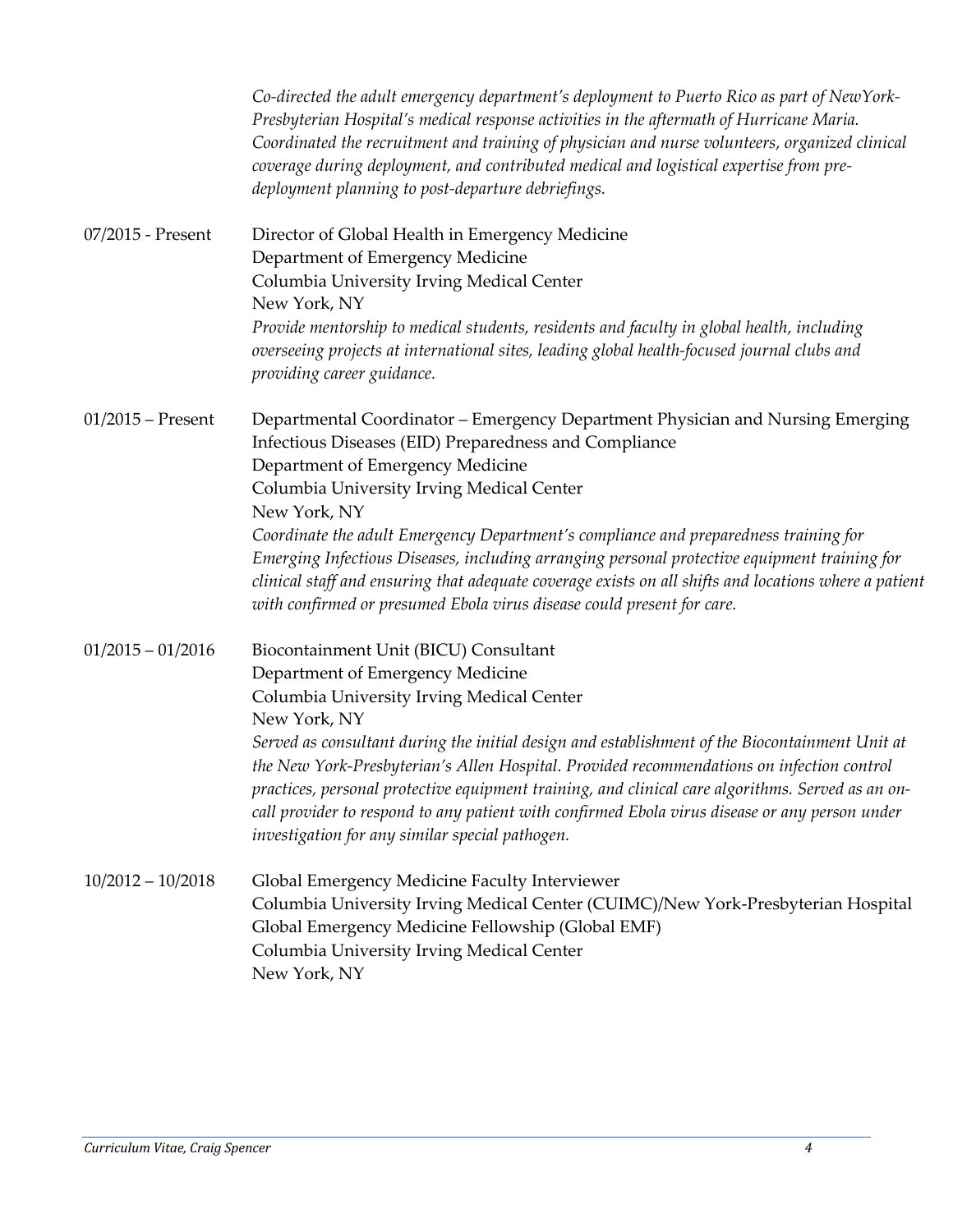|                     | Co-directed the adult emergency department's deployment to Puerto Rico as part of NewYork-<br>Presbyterian Hospital's medical response activities in the aftermath of Hurricane Maria.<br>Coordinated the recruitment and training of physician and nurse volunteers, organized clinical<br>coverage during deployment, and contributed medical and logistical expertise from pre-<br>deployment planning to post-departure debriefings.                                                                                                                                                                            |
|---------------------|---------------------------------------------------------------------------------------------------------------------------------------------------------------------------------------------------------------------------------------------------------------------------------------------------------------------------------------------------------------------------------------------------------------------------------------------------------------------------------------------------------------------------------------------------------------------------------------------------------------------|
| 07/2015 - Present   | Director of Global Health in Emergency Medicine<br>Department of Emergency Medicine<br>Columbia University Irving Medical Center<br>New York, NY<br>Provide mentorship to medical students, residents and faculty in global health, including<br>overseeing projects at international sites, leading global health-focused journal clubs and<br>providing career guidance.                                                                                                                                                                                                                                          |
| $01/2015$ – Present | Departmental Coordinator - Emergency Department Physician and Nursing Emerging<br>Infectious Diseases (EID) Preparedness and Compliance<br>Department of Emergency Medicine<br>Columbia University Irving Medical Center<br>New York, NY<br>Coordinate the adult Emergency Department's compliance and preparedness training for<br>Emerging Infectious Diseases, including arranging personal protective equipment training for<br>clinical staff and ensuring that adequate coverage exists on all shifts and locations where a patient<br>with confirmed or presumed Ebola virus disease could present for care. |
| $01/2015 - 01/2016$ | Biocontainment Unit (BICU) Consultant<br>Department of Emergency Medicine<br>Columbia University Irving Medical Center<br>New York, NY<br>Served as consultant during the initial design and establishment of the Biocontainment Unit at<br>the New York-Presbyterian's Allen Hospital. Provided recommendations on infection control<br>practices, personal protective equipment training, and clinical care algorithms. Served as an on-<br>call provider to respond to any patient with confirmed Ebola virus disease or any person under<br>investigation for any similar special pathogen.                     |
| $10/2012 - 10/2018$ | Global Emergency Medicine Faculty Interviewer<br>Columbia University Irving Medical Center (CUIMC)/New York-Presbyterian Hospital<br>Global Emergency Medicine Fellowship (Global EMF)<br>Columbia University Irving Medical Center<br>New York, NY                                                                                                                                                                                                                                                                                                                                                                 |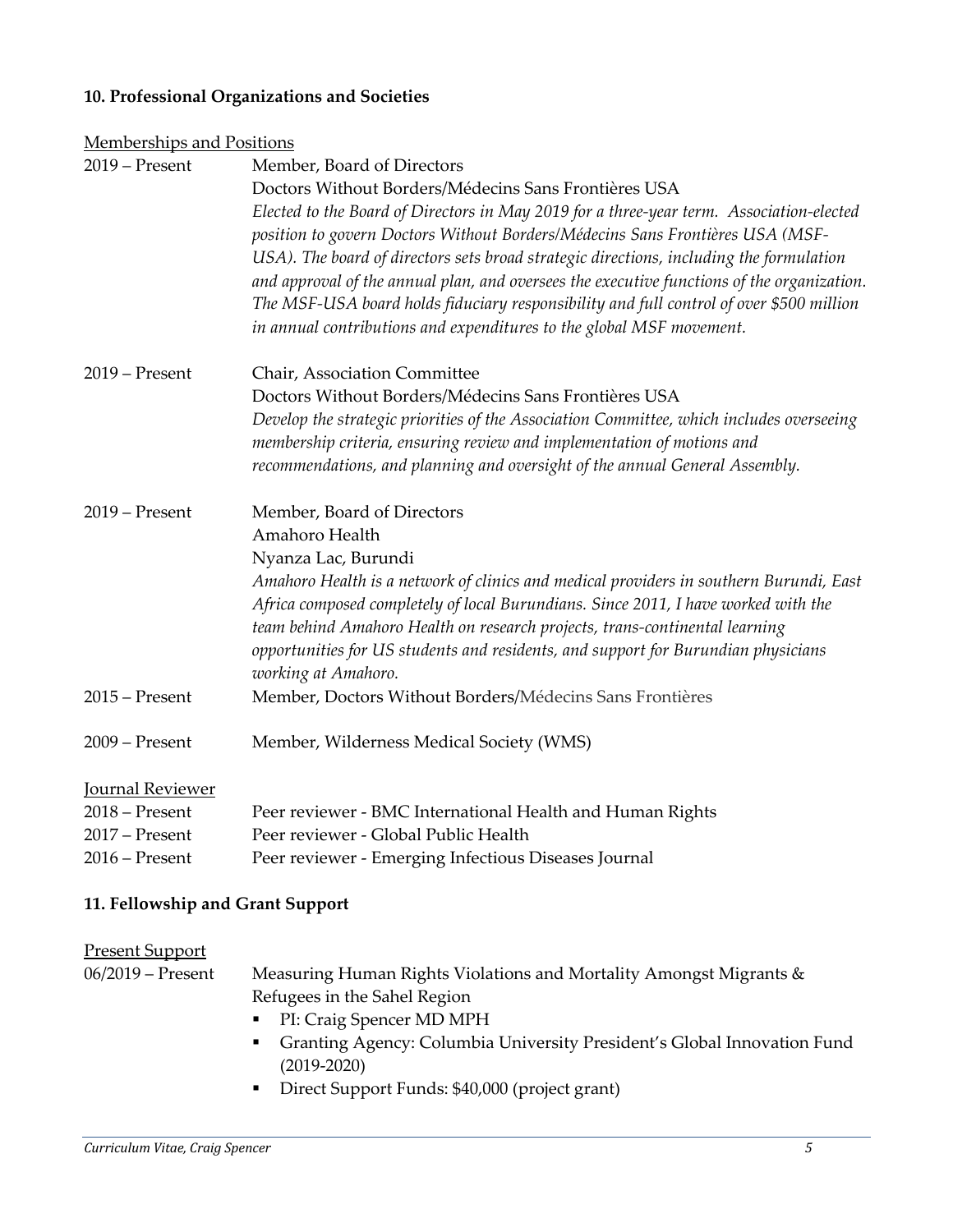#### **10. Professional Organizations and Societies**

| <b>Memberships and Positions</b> |                                                                                                                                                                              |
|----------------------------------|------------------------------------------------------------------------------------------------------------------------------------------------------------------------------|
| 2019 - Present                   | Member, Board of Directors                                                                                                                                                   |
|                                  | Doctors Without Borders/Médecins Sans Frontières USA                                                                                                                         |
|                                  | Elected to the Board of Directors in May 2019 for a three-year term. Association-elected                                                                                     |
|                                  | position to govern Doctors Without Borders/Médecins Sans Frontières USA (MSF-                                                                                                |
|                                  | USA). The board of directors sets broad strategic directions, including the formulation                                                                                      |
|                                  | and approval of the annual plan, and oversees the executive functions of the organization.                                                                                   |
|                                  | The MSF-USA board holds fiduciary responsibility and full control of over \$500 million                                                                                      |
|                                  | in annual contributions and expenditures to the global MSF movement.                                                                                                         |
| $2019$ – Present                 | Chair, Association Committee                                                                                                                                                 |
|                                  | Doctors Without Borders/Médecins Sans Frontières USA                                                                                                                         |
|                                  | Develop the strategic priorities of the Association Committee, which includes overseeing                                                                                     |
|                                  | membership criteria, ensuring review and implementation of motions and                                                                                                       |
|                                  | recommendations, and planning and oversight of the annual General Assembly.                                                                                                  |
| $2019 -$ Present                 | Member, Board of Directors                                                                                                                                                   |
|                                  | Amahoro Health                                                                                                                                                               |
|                                  | Nyanza Lac, Burundi                                                                                                                                                          |
|                                  | Amahoro Health is a network of clinics and medical providers in southern Burundi, East<br>Africa composed completely of local Burundians. Since 2011, I have worked with the |
|                                  | team behind Amahoro Health on research projects, trans-continental learning                                                                                                  |
|                                  | opportunities for US students and residents, and support for Burundian physicians                                                                                            |
|                                  | working at Amahoro.                                                                                                                                                          |
| $2015$ – Present                 | Member, Doctors Without Borders/Médecins Sans Frontières                                                                                                                     |
| $2009 -$ Present                 | Member, Wilderness Medical Society (WMS)                                                                                                                                     |
| Journal Reviewer                 |                                                                                                                                                                              |
| $2018$ – Present                 | Peer reviewer - BMC International Health and Human Rights                                                                                                                    |
| 2017 - Present                   | Peer reviewer - Global Public Health                                                                                                                                         |
| 2016 – Present                   | Peer reviewer - Emerging Infectious Diseases Journal                                                                                                                         |

#### **11. Fellowship and Grant Support**

## Present Support

06/2019 – Present Measuring Human Rights Violations and Mortality Amongst Migrants & Refugees in the Sahel Region

- § PI: Craig Spencer MD MPH
- § Granting Agency: Columbia University President's Global Innovation Fund (2019-2020)
- Direct Support Funds: \$40,000 (project grant)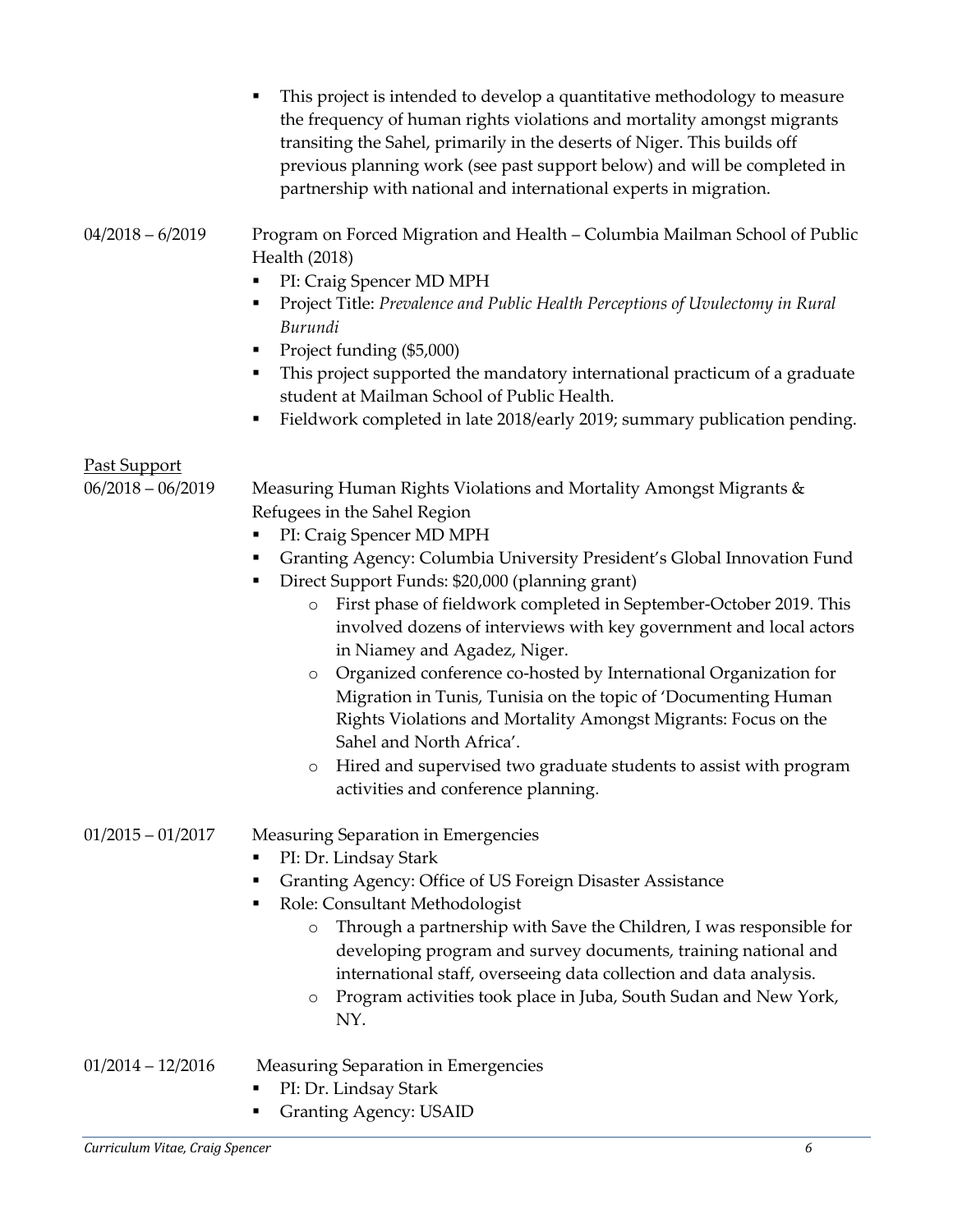|                                          | This project is intended to develop a quantitative methodology to measure<br>Ξ<br>the frequency of human rights violations and mortality amongst migrants<br>transiting the Sahel, primarily in the deserts of Niger. This builds off<br>previous planning work (see past support below) and will be completed in<br>partnership with national and international experts in migration.                                                                                                                                                                                                                                                                                                                                                                                                                                                   |
|------------------------------------------|------------------------------------------------------------------------------------------------------------------------------------------------------------------------------------------------------------------------------------------------------------------------------------------------------------------------------------------------------------------------------------------------------------------------------------------------------------------------------------------------------------------------------------------------------------------------------------------------------------------------------------------------------------------------------------------------------------------------------------------------------------------------------------------------------------------------------------------|
| 04/2018 – 6/2019                         | Program on Forced Migration and Health - Columbia Mailman School of Public<br>Health (2018)<br>PI: Craig Spencer MD MPH<br>٠<br>Project Title: Prevalence and Public Health Perceptions of Uvulectomy in Rural<br>٠<br>Burundi<br>Project funding (\$5,000)<br>٠<br>This project supported the mandatory international practicum of a graduate<br>٠<br>student at Mailman School of Public Health.<br>Fieldwork completed in late 2018/early 2019; summary publication pending.<br>٠                                                                                                                                                                                                                                                                                                                                                     |
| <u>Past Support</u><br>06/2018 - 06/2019 | Measuring Human Rights Violations and Mortality Amongst Migrants &<br>Refugees in the Sahel Region<br>PI: Craig Spencer MD MPH<br>٠<br>Granting Agency: Columbia University President's Global Innovation Fund<br>٠<br>Direct Support Funds: \$20,000 (planning grant)<br>٠<br>First phase of fieldwork completed in September-October 2019. This<br>$\circ$<br>involved dozens of interviews with key government and local actors<br>in Niamey and Agadez, Niger.<br>Organized conference co-hosted by International Organization for<br>$\circ$<br>Migration in Tunis, Tunisia on the topic of 'Documenting Human<br>Rights Violations and Mortality Amongst Migrants: Focus on the<br>Sahel and North Africa'.<br>Hired and supervised two graduate students to assist with program<br>$\circ$<br>activities and conference planning. |
| 01/2015 – 01/2017                        | Measuring Separation in Emergencies<br>PI: Dr. Lindsay Stark<br>п<br>Granting Agency: Office of US Foreign Disaster Assistance<br>٠<br>Role: Consultant Methodologist<br>٠<br>Through a partnership with Save the Children, I was responsible for<br>$\circ$<br>developing program and survey documents, training national and<br>international staff, overseeing data collection and data analysis.<br>Program activities took place in Juba, South Sudan and New York,<br>O<br>NY.                                                                                                                                                                                                                                                                                                                                                     |
| 01/2014 – 12/2016                        | <b>Measuring Separation in Emergencies</b><br>PI: Dr. Lindsay Stark<br>٠<br><b>Granting Agency: USAID</b><br>٠                                                                                                                                                                                                                                                                                                                                                                                                                                                                                                                                                                                                                                                                                                                           |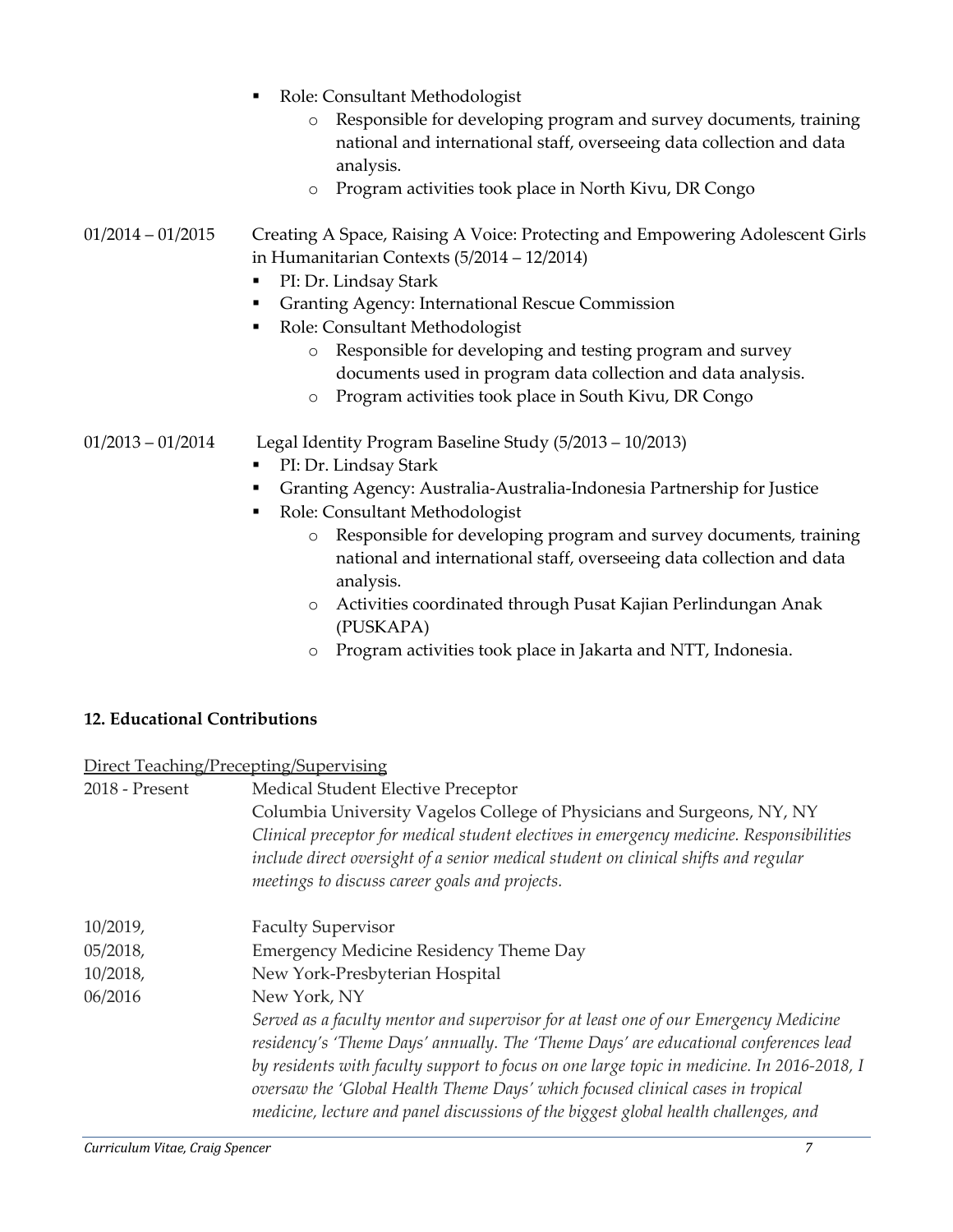|                     | Role: Consultant Methodologist<br>$\blacksquare$<br>Responsible for developing program and survey documents, training<br>$\circ$<br>national and international staff, overseeing data collection and data<br>analysis.<br>Program activities took place in North Kivu, DR Congo<br>$\circ$                                                                                                                                                                                                                     |
|---------------------|----------------------------------------------------------------------------------------------------------------------------------------------------------------------------------------------------------------------------------------------------------------------------------------------------------------------------------------------------------------------------------------------------------------------------------------------------------------------------------------------------------------|
| $01/2014 - 01/2015$ | Creating A Space, Raising A Voice: Protecting and Empowering Adolescent Girls<br>in Humanitarian Contexts $(5/2014 - 12/2014)$<br>PI: Dr. Lindsay Stark<br>٠<br><b>Granting Agency: International Rescue Commission</b><br>٠<br>Role: Consultant Methodologist<br>٠<br>Responsible for developing and testing program and survey<br>$\circ$<br>documents used in program data collection and data analysis.<br>Program activities took place in South Kivu, DR Congo<br>$\circ$                                |
| $01/2013 - 01/2014$ | Legal Identity Program Baseline Study (5/2013 – 10/2013)<br>PI: Dr. Lindsay Stark<br>п<br>Granting Agency: Australia-Australia-Indonesia Partnership for Justice<br>٠<br>Role: Consultant Methodologist<br>٠<br>Responsible for developing program and survey documents, training<br>$\circ$<br>national and international staff, overseeing data collection and data<br>analysis.<br>$\mathbf{r}$ is the set of $\mathbf{r}$ in the set of $\mathbf{r}$ is the set of $\mathbf{r}$ is the set of $\mathbf{r}$ |

- o Activities coordinated through Pusat Kajian Perlindungan Anak (PUSKAPA)
- o Program activities took place in Jakarta and NTT, Indonesia.

# **12. Educational Contributions**

## Direct Teaching/Precepting/Supervising

| 2018 - Present | Medical Student Elective Preceptor                                                                                                                                            |
|----------------|-------------------------------------------------------------------------------------------------------------------------------------------------------------------------------|
|                | Columbia University Vagelos College of Physicians and Surgeons, NY, NY                                                                                                        |
|                | Clinical preceptor for medical student electives in emergency medicine. Responsibilities                                                                                      |
|                | include direct oversight of a senior medical student on clinical shifts and regular                                                                                           |
|                | meetings to discuss career goals and projects.                                                                                                                                |
| 10/2019,       | <b>Faculty Supervisor</b>                                                                                                                                                     |
| 05/2018,       | Emergency Medicine Residency Theme Day                                                                                                                                        |
| 10/2018,       | New York-Presbyterian Hospital                                                                                                                                                |
| 06/2016        | New York, NY                                                                                                                                                                  |
|                | Served as a faculty mentor and supervisor for at least one of our Emergency Medicine                                                                                          |
|                | residency's 'Theme Days' annually. The 'Theme Days' are educational conferences lead                                                                                          |
|                | by residents with faculty support to focus on one large topic in medicine. In 2016-2018, I<br>oversaw the 'Global Health Theme Days' which focused clinical cases in tropical |
|                | medicine, lecture and panel discussions of the biggest global health challenges, and                                                                                          |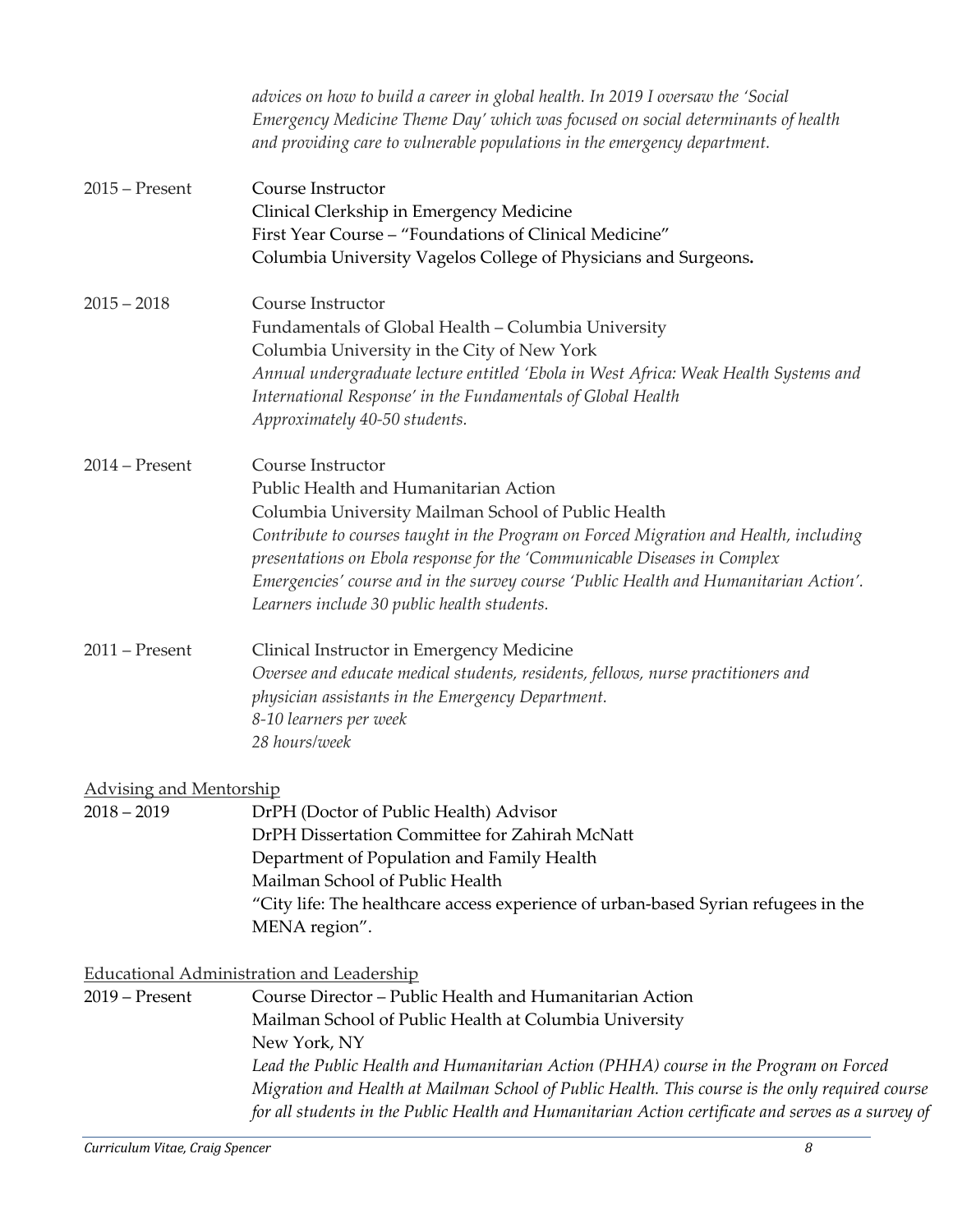|                                                 | advices on how to build a career in global health. In 2019 I oversaw the 'Social<br>Emergency Medicine Theme Day' which was focused on social determinants of health<br>and providing care to vulnerable populations in the emergency department.                                                                                                                                                                                     |
|-------------------------------------------------|---------------------------------------------------------------------------------------------------------------------------------------------------------------------------------------------------------------------------------------------------------------------------------------------------------------------------------------------------------------------------------------------------------------------------------------|
| $2015$ – Present                                | Course Instructor<br>Clinical Clerkship in Emergency Medicine<br>First Year Course - "Foundations of Clinical Medicine"<br>Columbia University Vagelos College of Physicians and Surgeons.                                                                                                                                                                                                                                            |
| $2015 - 2018$                                   | Course Instructor<br>Fundamentals of Global Health - Columbia University<br>Columbia University in the City of New York<br>Annual undergraduate lecture entitled 'Ebola in West Africa: Weak Health Systems and<br>International Response' in the Fundamentals of Global Health<br>Approximately 40-50 students.                                                                                                                      |
| $2014 - Present$                                | Course Instructor<br>Public Health and Humanitarian Action<br>Columbia University Mailman School of Public Health<br>Contribute to courses taught in the Program on Forced Migration and Health, including<br>presentations on Ebola response for the 'Communicable Diseases in Complex<br>Emergencies' course and in the survey course 'Public Health and Humanitarian Action'.<br>Learners include 30 public health students.       |
| $2011$ – Present                                | Clinical Instructor in Emergency Medicine<br>Oversee and educate medical students, residents, fellows, nurse practitioners and<br>physician assistants in the Emergency Department.<br>8-10 learners per week<br>28 hours/week                                                                                                                                                                                                        |
| <b>Advising and Mentorship</b><br>$2018 - 2019$ | DrPH (Doctor of Public Health) Advisor<br>DrPH Dissertation Committee for Zahirah McNatt<br>Department of Population and Family Health<br>Mailman School of Public Health<br>"City life: The healthcare access experience of urban-based Syrian refugees in the<br>MENA region".                                                                                                                                                      |
|                                                 | <b>Educational Administration and Leadership</b>                                                                                                                                                                                                                                                                                                                                                                                      |
| $2019$ – Present                                | Course Director - Public Health and Humanitarian Action<br>Mailman School of Public Health at Columbia University<br>New York, NY<br>Lead the Public Health and Humanitarian Action (PHHA) course in the Program on Forced<br>Migration and Health at Mailman School of Public Health. This course is the only required course<br>for all students in the Public Health and Humanitarian Action certificate and serves as a survey of |
| Curriculum Vitae, Craig Spencer                 | 8                                                                                                                                                                                                                                                                                                                                                                                                                                     |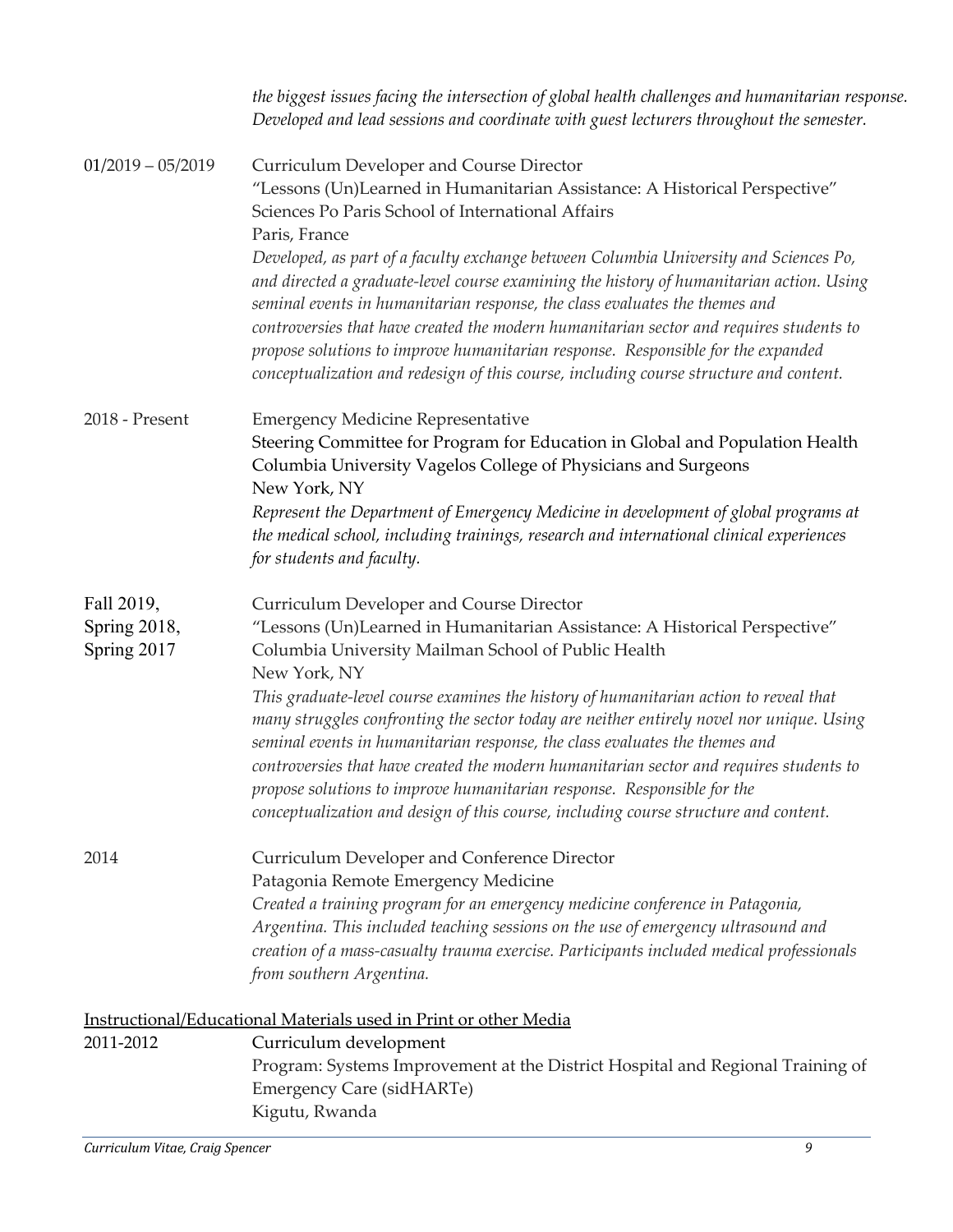|                             | the biggest issues facing the intersection of global health challenges and humanitarian response.<br>Developed and lead sessions and coordinate with guest lecturers throughout the semester.                                                                         |
|-----------------------------|-----------------------------------------------------------------------------------------------------------------------------------------------------------------------------------------------------------------------------------------------------------------------|
| $01/2019 - 05/2019$         | Curriculum Developer and Course Director                                                                                                                                                                                                                              |
|                             | "Lessons (Un)Learned in Humanitarian Assistance: A Historical Perspective"                                                                                                                                                                                            |
|                             | Sciences Po Paris School of International Affairs                                                                                                                                                                                                                     |
|                             | Paris, France                                                                                                                                                                                                                                                         |
|                             | Developed, as part of a faculty exchange between Columbia University and Sciences Po,<br>and directed a graduate-level course examining the history of humanitarian action. Using<br>seminal events in humanitarian response, the class evaluates the themes and      |
|                             | controversies that have created the modern humanitarian sector and requires students to<br>propose solutions to improve humanitarian response. Responsible for the expanded<br>conceptualization and redesign of this course, including course structure and content. |
| 2018 - Present              | <b>Emergency Medicine Representative</b>                                                                                                                                                                                                                              |
|                             | Steering Committee for Program for Education in Global and Population Health<br>Columbia University Vagelos College of Physicians and Surgeons<br>New York, NY                                                                                                        |
|                             | Represent the Department of Emergency Medicine in development of global programs at                                                                                                                                                                                   |
|                             | the medical school, including trainings, research and international clinical experiences                                                                                                                                                                              |
|                             | for students and faculty.                                                                                                                                                                                                                                             |
| Fall 2019,                  | Curriculum Developer and Course Director                                                                                                                                                                                                                              |
| Spring 2018,<br>Spring 2017 | "Lessons (Un)Learned in Humanitarian Assistance: A Historical Perspective"<br>Columbia University Mailman School of Public Health<br>New York, NY                                                                                                                     |
|                             | This graduate-level course examines the history of humanitarian action to reveal that<br>many struggles confronting the sector today are neither entirely novel nor unique. Using<br>seminal events in humanitarian response, the class evaluates the themes and      |
|                             | controversies that have created the modern humanitarian sector and requires students to                                                                                                                                                                               |
|                             | propose solutions to improve humanitarian response. Responsible for the<br>conceptualization and design of this course, including course structure and content.                                                                                                       |
| 2014                        | Curriculum Developer and Conference Director                                                                                                                                                                                                                          |
|                             | Patagonia Remote Emergency Medicine                                                                                                                                                                                                                                   |
|                             | Created a training program for an emergency medicine conference in Patagonia,                                                                                                                                                                                         |
|                             | Argentina. This included teaching sessions on the use of emergency ultrasound and<br>creation of a mass-casualty trauma exercise. Participants included medical professionals                                                                                         |
|                             | from southern Argentina.                                                                                                                                                                                                                                              |
|                             | Instructional/Educational Materials used in Print or other Media                                                                                                                                                                                                      |
| 2011-2012                   | Curriculum development                                                                                                                                                                                                                                                |
|                             | Program: Systems Improvement at the District Hospital and Regional Training of<br><b>Emergency Care (sidHARTe)</b>                                                                                                                                                    |
|                             | Kigutu, Rwanda                                                                                                                                                                                                                                                        |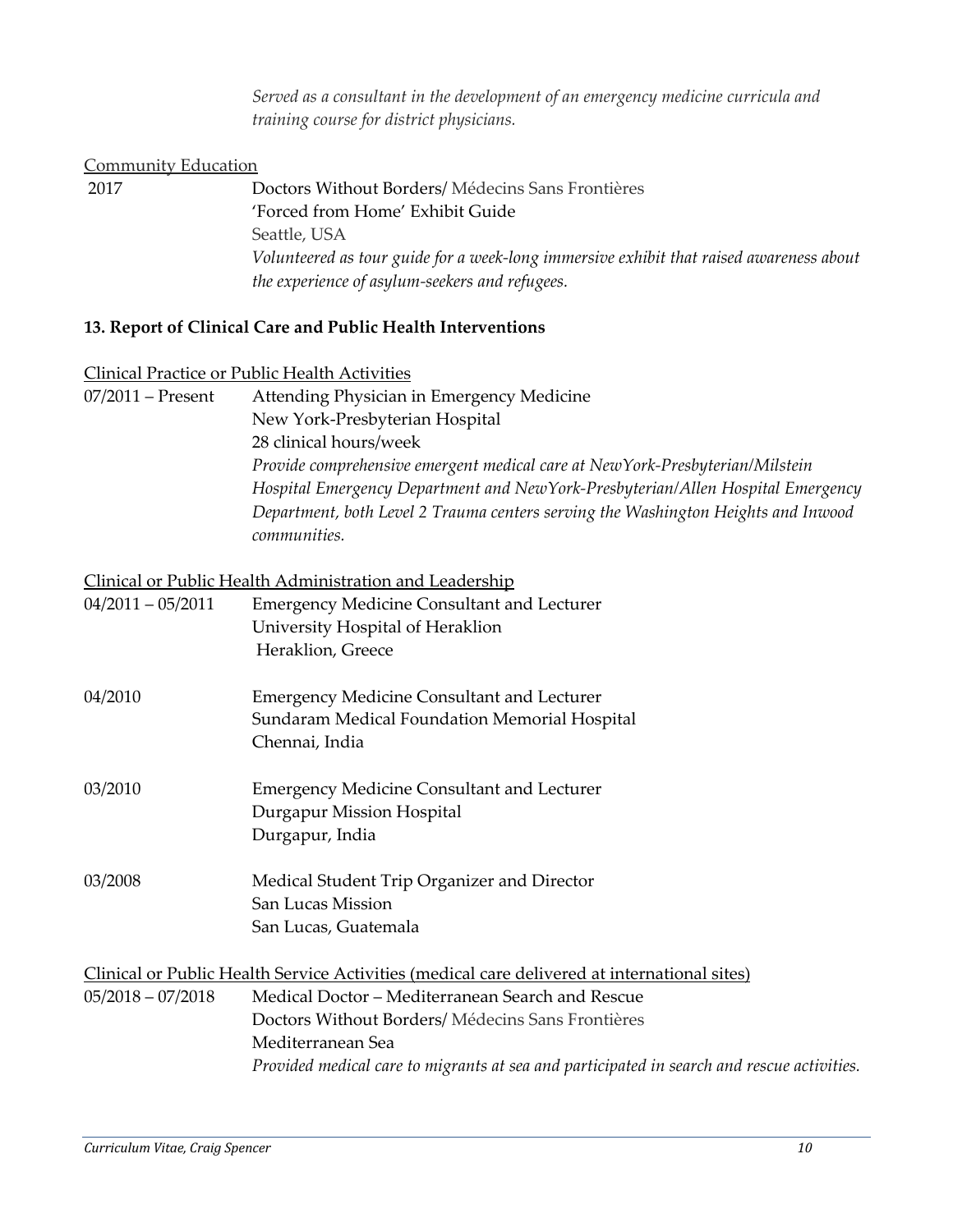*Served as a consultant in the development of an emergency medicine curricula and training course for district physicians.* 

## Community Education

2017 Doctors Without Borders/ Médecins Sans Frontières 'Forced from Home' Exhibit Guide Seattle, USA *Volunteered as tour guide for a week-long immersive exhibit that raised awareness about the experience of asylum-seekers and refugees.* 

## **13. Report of Clinical Care and Public Health Interventions**

#### Clinical Practice or Public Health Activities

| $07/2011$ – Present | Attending Physician in Emergency Medicine                                         |
|---------------------|-----------------------------------------------------------------------------------|
|                     | New York-Presbyterian Hospital                                                    |
|                     | 28 clinical hours/week                                                            |
|                     | Provide comprehensive emergent medical care at NewYork-Presbyterian/Milstein      |
|                     | Hospital Emergency Department and NewYork-Presbyterian/Allen Hospital Emergency   |
|                     | Department, both Level 2 Trauma centers serving the Washington Heights and Inwood |
|                     | communities.                                                                      |

#### Clinical or Public Health Administration and Leadership

| $04/2011 - 05/2011$ | <b>Emergency Medicine Consultant and Lecturer</b><br>University Hospital of Heraklion<br>Heraklion, Greece |
|---------------------|------------------------------------------------------------------------------------------------------------|
| 04/2010             | <b>Emergency Medicine Consultant and Lecturer</b><br>Sundaram Medical Foundation Memorial Hospital         |
|                     | Chennai, India                                                                                             |
| 03/2010             | <b>Emergency Medicine Consultant and Lecturer</b><br>Durgapur Mission Hospital<br>Durgapur, India          |
| 03/2008             | Medical Student Trip Organizer and Director<br>San Lucas Mission<br>San Lucas, Guatemala                   |
|                     | Clinical or Public Health Service Activities (medical care delivered at international sites)               |
| $05/2018 - 07/2018$ | Medical Doctor – Mediterranean Search and Rescue                                                           |
|                     | Doctors Without Borders/Médecins Sans Frontières                                                           |
|                     | Mediterranean Sea                                                                                          |
|                     | Provided medical care to migrants at sea and participated in search and rescue activities.                 |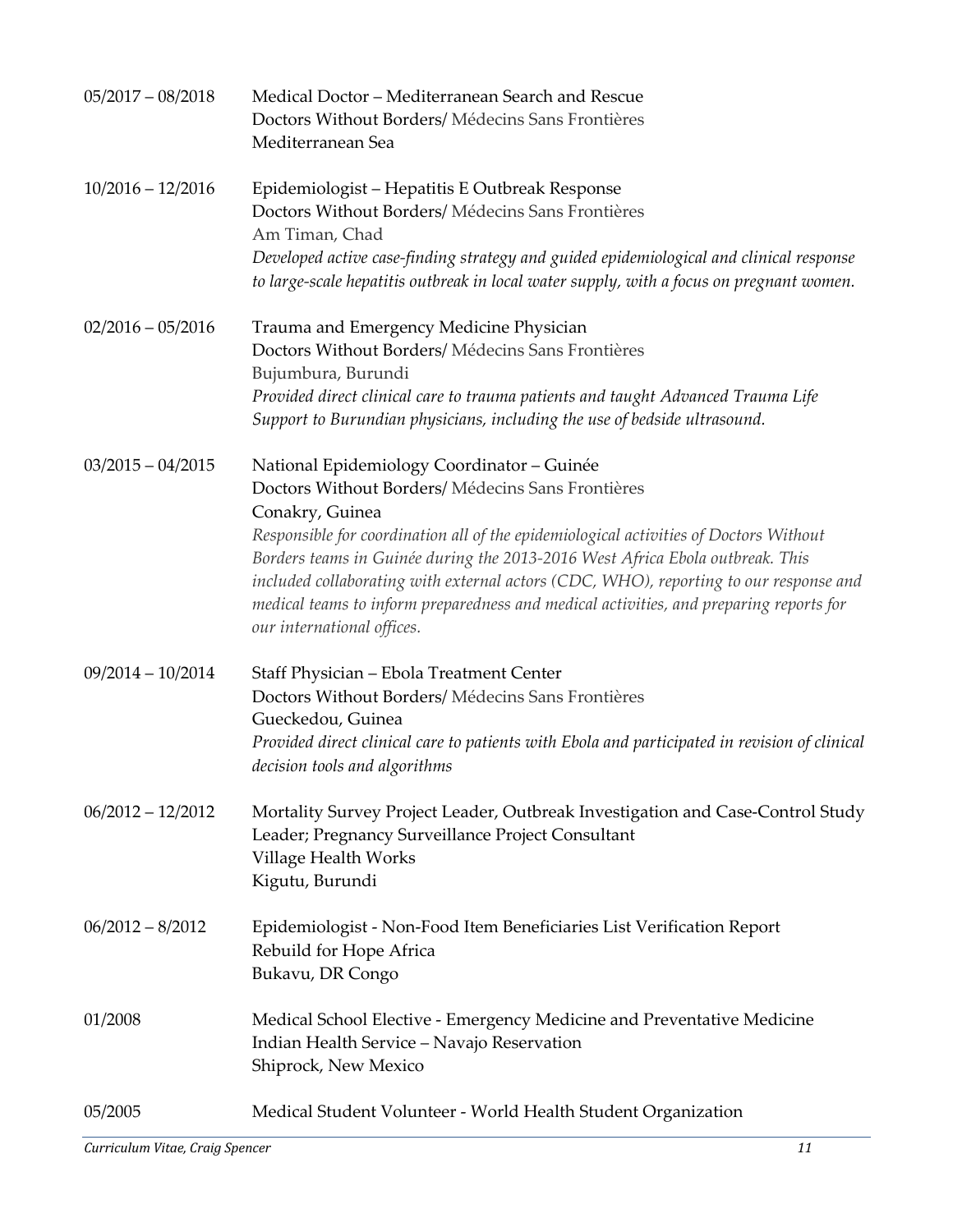| $05/2017 - 08/2018$ | Medical Doctor - Mediterranean Search and Rescue<br>Doctors Without Borders/ Médecins Sans Frontières<br>Mediterranean Sea                                                                                                                                                                                                                                                                                                                                                                                    |
|---------------------|---------------------------------------------------------------------------------------------------------------------------------------------------------------------------------------------------------------------------------------------------------------------------------------------------------------------------------------------------------------------------------------------------------------------------------------------------------------------------------------------------------------|
| $10/2016 - 12/2016$ | Epidemiologist - Hepatitis E Outbreak Response<br>Doctors Without Borders/Médecins Sans Frontières<br>Am Timan, Chad<br>Developed active case-finding strategy and guided epidemiological and clinical response<br>to large-scale hepatitis outbreak in local water supply, with a focus on pregnant women.                                                                                                                                                                                                   |
| $02/2016 - 05/2016$ | Trauma and Emergency Medicine Physician<br>Doctors Without Borders/Médecins Sans Frontières<br>Bujumbura, Burundi<br>Provided direct clinical care to trauma patients and taught Advanced Trauma Life<br>Support to Burundian physicians, including the use of bedside ultrasound.                                                                                                                                                                                                                            |
| $03/2015 - 04/2015$ | National Epidemiology Coordinator - Guinée<br>Doctors Without Borders/ Médecins Sans Frontières<br>Conakry, Guinea<br>Responsible for coordination all of the epidemiological activities of Doctors Without<br>Borders teams in Guinée during the 2013-2016 West Africa Ebola outbreak. This<br>included collaborating with external actors (CDC, WHO), reporting to our response and<br>medical teams to inform preparedness and medical activities, and preparing reports for<br>our international offices. |
| $09/2014 - 10/2014$ | Staff Physician - Ebola Treatment Center<br>Doctors Without Borders/ Médecins Sans Frontières<br>Gueckedou, Guinea<br>Provided direct clinical care to patients with Ebola and participated in revision of clinical<br>decision tools and algorithms                                                                                                                                                                                                                                                          |
| $06/2012 - 12/2012$ | Mortality Survey Project Leader, Outbreak Investigation and Case-Control Study<br>Leader; Pregnancy Surveillance Project Consultant<br>Village Health Works<br>Kigutu, Burundi                                                                                                                                                                                                                                                                                                                                |
| $06/2012 - 8/2012$  | Epidemiologist - Non-Food Item Beneficiaries List Verification Report<br>Rebuild for Hope Africa<br>Bukavu, DR Congo                                                                                                                                                                                                                                                                                                                                                                                          |
| 01/2008             | Medical School Elective - Emergency Medicine and Preventative Medicine<br>Indian Health Service - Navajo Reservation<br>Shiprock, New Mexico                                                                                                                                                                                                                                                                                                                                                                  |
| 05/2005             | Medical Student Volunteer - World Health Student Organization                                                                                                                                                                                                                                                                                                                                                                                                                                                 |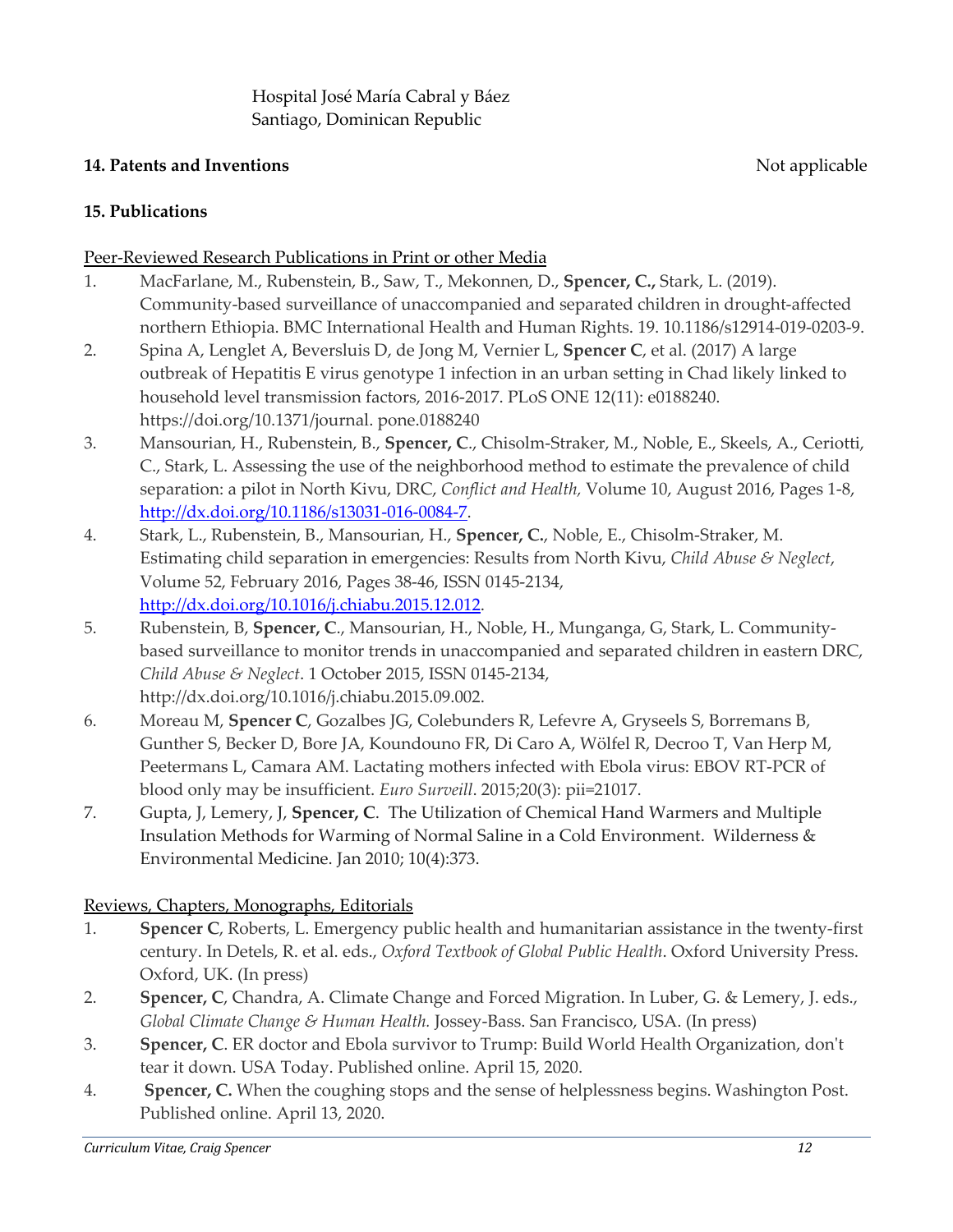## **14. Patents and Inventions** Not applicable

## **15. Publications**

#### Peer-Reviewed Research Publications in Print or other Media

- 1. MacFarlane, M., Rubenstein, B., Saw, T., Mekonnen, D., **Spencer, C.,** Stark, L. (2019). Community-based surveillance of unaccompanied and separated children in drought-affected northern Ethiopia. BMC International Health and Human Rights. 19. 10.1186/s12914-019-0203-9.
- 2. Spina A, Lenglet A, Beversluis D, de Jong M, Vernier L, **Spencer C**, et al. (2017) A large outbreak of Hepatitis E virus genotype 1 infection in an urban setting in Chad likely linked to household level transmission factors, 2016-2017. PLoS ONE 12(11): e0188240. https://doi.org/10.1371/journal. pone.0188240
- 3. Mansourian, H., Rubenstein, B., **Spencer, C**., Chisolm-Straker, M., Noble, E., Skeels, A., Ceriotti, C., Stark, L. Assessing the use of the neighborhood method to estimate the prevalence of child separation: a pilot in North Kivu, DRC, *Conflict and Health,* Volume 10, August 2016, Pages 1-8, http://dx.doi.org/10.1186/s13031-016-0084-7.
- 4. Stark, L., Rubenstein, B., Mansourian, H., **Spencer, C.**, Noble, E., Chisolm-Straker, M. Estimating child separation in emergencies: Results from North Kivu, *Child Abuse & Neglect*, Volume 52, February 2016, Pages 38-46, ISSN 0145-2134, http://dx.doi.org/10.1016/j.chiabu.2015.12.012.
- 5. Rubenstein, B, **Spencer, C**., Mansourian, H., Noble, H., Munganga, G, Stark, L. Communitybased surveillance to monitor trends in unaccompanied and separated children in eastern DRC, *Child Abuse & Neglect*. 1 October 2015, ISSN 0145-2134, http://dx.doi.org/10.1016/j.chiabu.2015.09.002.
- 6. Moreau M, **Spencer C**, Gozalbes JG, Colebunders R, Lefevre A, Gryseels S, Borremans B, Gunther S, Becker D, Bore JA, Koundouno FR, Di Caro A, Wölfel R, Decroo T, Van Herp M, Peetermans L, Camara AM. Lactating mothers infected with Ebola virus: EBOV RT-PCR of blood only may be insufficient. *Euro Surveill*. 2015;20(3): pii=21017.
- 7. Gupta, J, Lemery, J, **Spencer, C**. The Utilization of Chemical Hand Warmers and Multiple Insulation Methods for Warming of Normal Saline in a Cold Environment. Wilderness & Environmental Medicine. Jan 2010; 10(4):373.

### Reviews, Chapters, Monographs, Editorials

- 1. **Spencer C**, Roberts, L. Emergency public health and humanitarian assistance in the twenty-first century. In Detels, R. et al. eds., *Oxford Textbook of Global Public Health*. Oxford University Press. Oxford, UK. (In press)
- 2. **Spencer, C**, Chandra, A. Climate Change and Forced Migration. In Luber, G. & Lemery, J. eds., *Global Climate Change & Human Health.* Jossey-Bass. San Francisco, USA. (In press)
- 3. **Spencer, C**. ER doctor and Ebola survivor to Trump: Build World Health Organization, don't tear it down. USA Today. Published online. April 15, 2020.
- 4. **Spencer, C.** When the coughing stops and the sense of helplessness begins. Washington Post. Published online. April 13, 2020.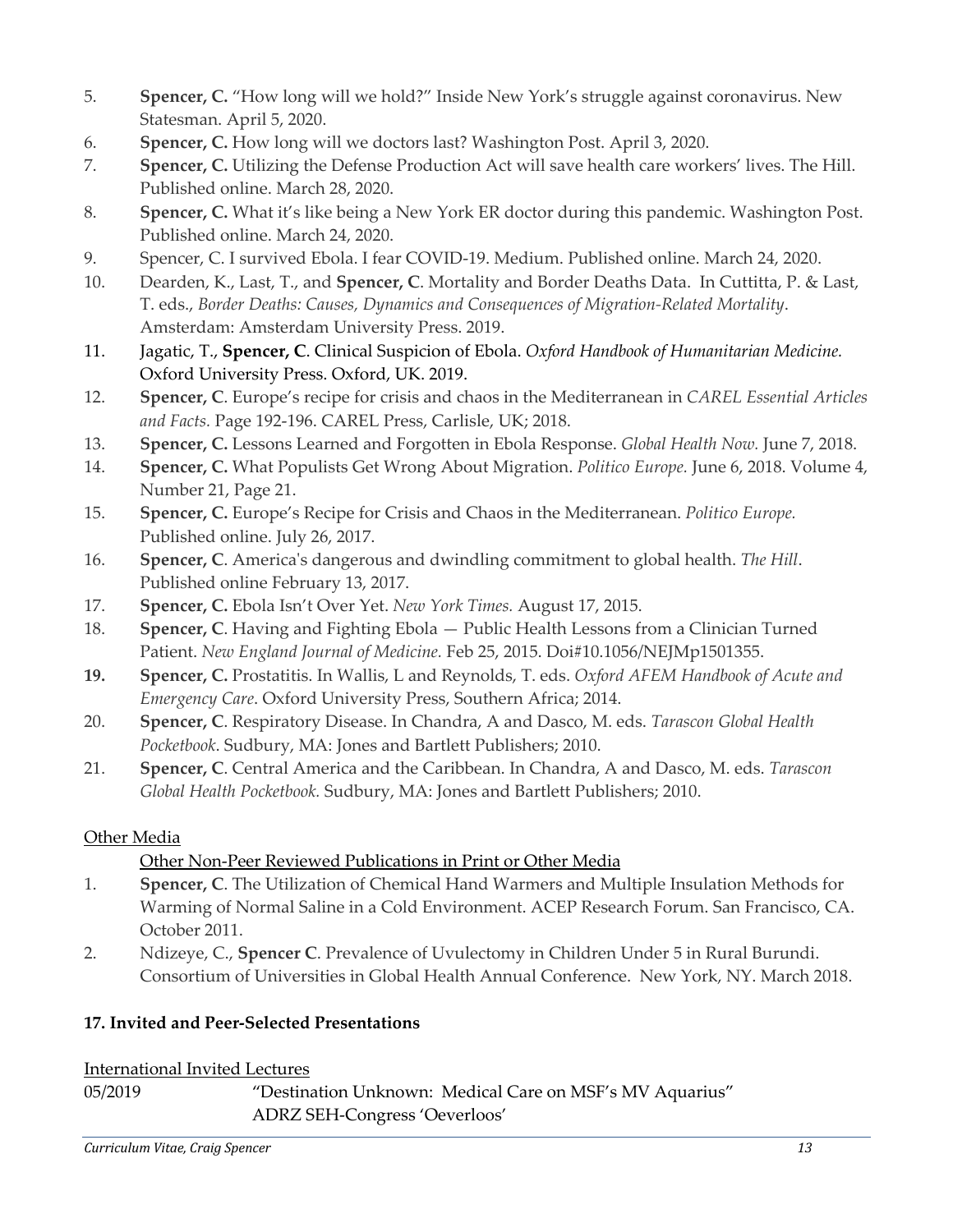- 5. **Spencer, C.** "How long will we hold?" Inside New York's struggle against coronavirus. New Statesman. April 5, 2020.
- 6. **Spencer, C.** How long will we doctors last? Washington Post. April 3, 2020.
- 7. **Spencer, C.** Utilizing the Defense Production Act will save health care workers' lives. The Hill. Published online. March 28, 2020.
- 8. **Spencer, C.** What it's like being a New York ER doctor during this pandemic. Washington Post. Published online. March 24, 2020.
- 9. Spencer, C. I survived Ebola. I fear COVID-19. Medium. Published online. March 24, 2020.
- 10. Dearden, K., Last, T., and **Spencer, C**. Mortality and Border Deaths Data. In Cuttitta, P. & Last, T. eds., *Border Deaths: Causes, Dynamics and Consequences of Migration-Related Mortality*. Amsterdam: Amsterdam University Press. 2019.
- 11. Jagatic, T., **Spencer, C**. Clinical Suspicion of Ebola. *Oxford Handbook of Humanitarian Medicine.*  Oxford University Press. Oxford, UK. 2019.
- 12. **Spencer, C**. Europe's recipe for crisis and chaos in the Mediterranean in *CAREL Essential Articles and Facts.* Page 192-196. CAREL Press, Carlisle, UK; 2018.
- 13. **Spencer, C.** Lessons Learned and Forgotten in Ebola Response. *Global Health Now.* June 7, 2018.
- 14. **Spencer, C.** What Populists Get Wrong About Migration. *Politico Europe.* June 6, 2018. Volume 4, Number 21, Page 21.
- 15. **Spencer, C.** Europe's Recipe for Crisis and Chaos in the Mediterranean. *Politico Europe.*  Published online. July 26, 2017.
- 16. **Spencer, C**. America's dangerous and dwindling commitment to global health. *The Hill*. Published online February 13, 2017.
- 17. **Spencer, C.** Ebola Isn't Over Yet. *New York Times.* August 17, 2015.
- 18. **Spencer, C**. Having and Fighting Ebola Public Health Lessons from a Clinician Turned Patient. *New England Journal of Medicine.* Feb 25, 2015. Doi#10.1056/NEJMp1501355.
- **19. Spencer, C.** Prostatitis. In Wallis, L and Reynolds, T. eds. *Oxford AFEM Handbook of Acute and Emergency Care*. Oxford University Press, Southern Africa; 2014.
- 20. **Spencer, C**. Respiratory Disease. In Chandra, A and Dasco, M. eds. *Tarascon Global Health Pocketbook*. Sudbury, MA: Jones and Bartlett Publishers; 2010.
- 21. **Spencer, C**. Central America and the Caribbean. In Chandra, A and Dasco, M. eds. *Tarascon Global Health Pocketbook.* Sudbury, MA: Jones and Bartlett Publishers; 2010.

# Other Media

# Other Non-Peer Reviewed Publications in Print or Other Media

- 1. **Spencer, C**. The Utilization of Chemical Hand Warmers and Multiple Insulation Methods for Warming of Normal Saline in a Cold Environment. ACEP Research Forum. San Francisco, CA. October 2011.
- 2. Ndizeye, C., **Spencer C**. Prevalence of Uvulectomy in Children Under 5 in Rural Burundi. Consortium of Universities in Global Health Annual Conference. New York, NY. March 2018.

# **17. Invited and Peer-Selected Presentations**

## International Invited Lectures

05/2019 "Destination Unknown: Medical Care on MSF's MV Aquarius" ADRZ SEH-Congress 'Oeverloos'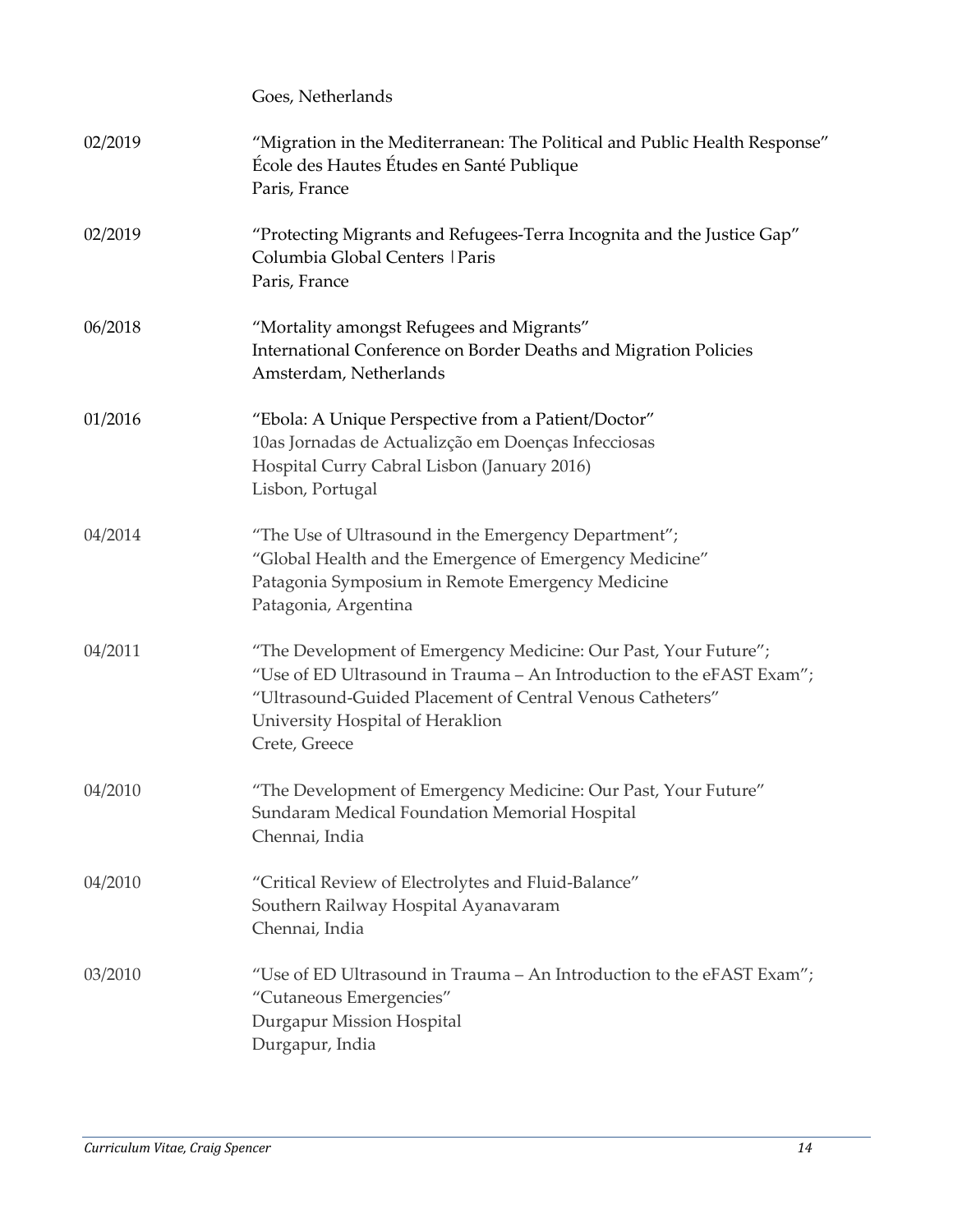|         | Goes, Netherlands                                                                                                                                                                                                                                          |
|---------|------------------------------------------------------------------------------------------------------------------------------------------------------------------------------------------------------------------------------------------------------------|
| 02/2019 | "Migration in the Mediterranean: The Political and Public Health Response"<br>École des Hautes Études en Santé Publique<br>Paris, France                                                                                                                   |
| 02/2019 | "Protecting Migrants and Refugees-Terra Incognita and the Justice Gap"<br>Columbia Global Centers   Paris<br>Paris, France                                                                                                                                 |
| 06/2018 | "Mortality amongst Refugees and Migrants"<br>International Conference on Border Deaths and Migration Policies<br>Amsterdam, Netherlands                                                                                                                    |
| 01/2016 | "Ebola: A Unique Perspective from a Patient/Doctor"<br>10as Jornadas de Actualizção em Doenças Infecciosas<br>Hospital Curry Cabral Lisbon (January 2016)<br>Lisbon, Portugal                                                                              |
| 04/2014 | "The Use of Ultrasound in the Emergency Department";<br>"Global Health and the Emergence of Emergency Medicine"<br>Patagonia Symposium in Remote Emergency Medicine<br>Patagonia, Argentina                                                                |
| 04/2011 | "The Development of Emergency Medicine: Our Past, Your Future";<br>"Use of ED Ultrasound in Trauma - An Introduction to the eFAST Exam";<br>"Ultrasound-Guided Placement of Central Venous Catheters"<br>University Hospital of Heraklion<br>Crete, Greece |
| 04/2010 | "The Development of Emergency Medicine: Our Past, Your Future"<br>Sundaram Medical Foundation Memorial Hospital<br>Chennai, India                                                                                                                          |
| 04/2010 | "Critical Review of Electrolytes and Fluid-Balance"<br>Southern Railway Hospital Ayanavaram<br>Chennai, India                                                                                                                                              |
| 03/2010 | "Use of ED Ultrasound in Trauma – An Introduction to the eFAST Exam";<br>"Cutaneous Emergencies"<br>Durgapur Mission Hospital<br>Durgapur, India                                                                                                           |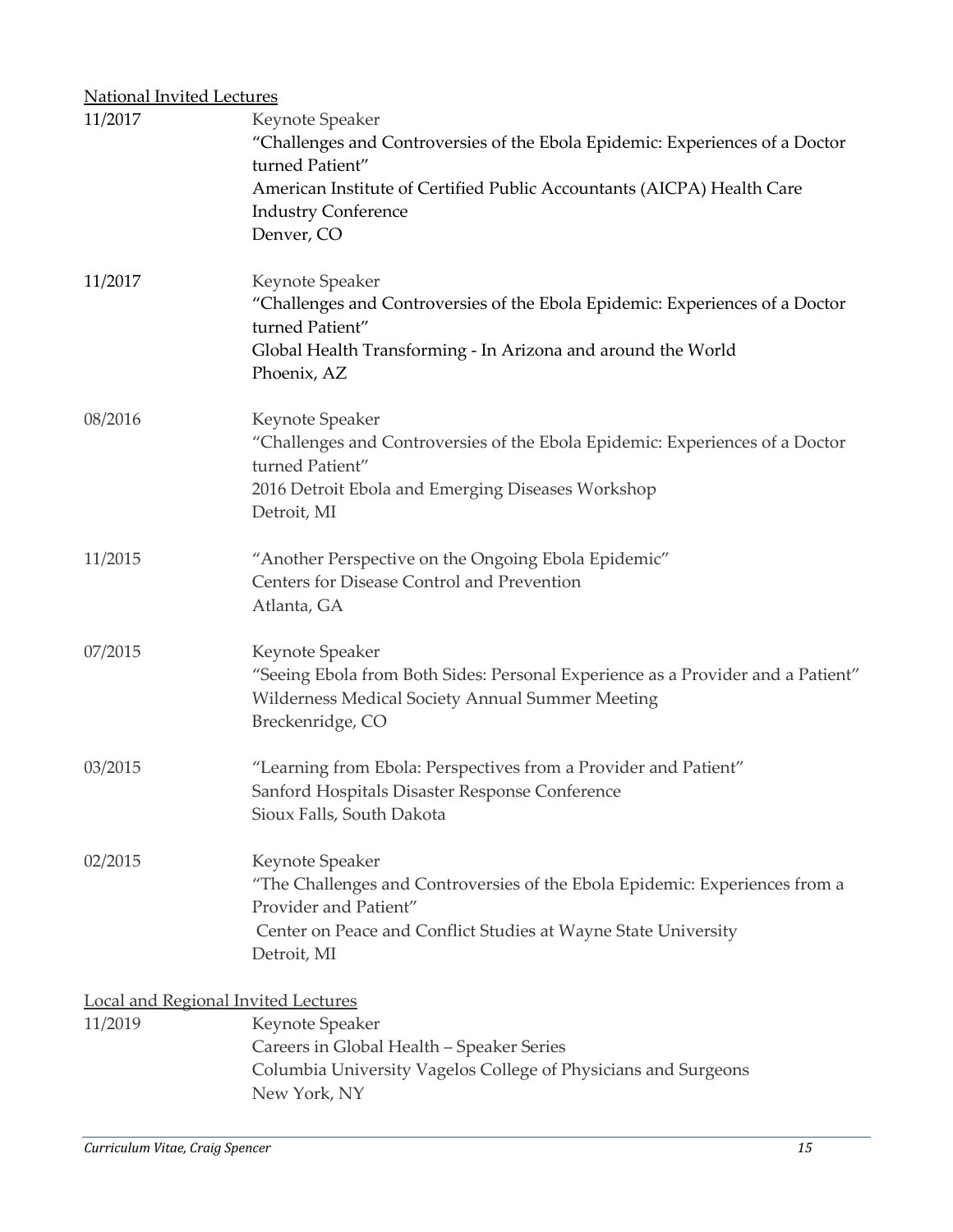| <b>National Invited Lectures</b>                      |                                                                                                                                                                                                                                          |
|-------------------------------------------------------|------------------------------------------------------------------------------------------------------------------------------------------------------------------------------------------------------------------------------------------|
| 11/2017                                               | Keynote Speaker<br>"Challenges and Controversies of the Ebola Epidemic: Experiences of a Doctor<br>turned Patient"<br>American Institute of Certified Public Accountants (AICPA) Health Care<br><b>Industry Conference</b><br>Denver, CO |
| 11/2017                                               | Keynote Speaker<br>"Challenges and Controversies of the Ebola Epidemic: Experiences of a Doctor<br>turned Patient"<br>Global Health Transforming - In Arizona and around the World<br>Phoenix, AZ                                        |
| 08/2016                                               | Keynote Speaker<br>"Challenges and Controversies of the Ebola Epidemic: Experiences of a Doctor<br>turned Patient"<br>2016 Detroit Ebola and Emerging Diseases Workshop<br>Detroit, MI                                                   |
| 11/2015                                               | "Another Perspective on the Ongoing Ebola Epidemic"<br>Centers for Disease Control and Prevention<br>Atlanta, GA                                                                                                                         |
| 07/2015                                               | Keynote Speaker<br>"Seeing Ebola from Both Sides: Personal Experience as a Provider and a Patient"<br>Wilderness Medical Society Annual Summer Meeting<br>Breckenridge, CO                                                               |
| 03/2015                                               | "Learning from Ebola: Perspectives from a Provider and Patient"<br>Sanford Hospitals Disaster Response Conference<br>Sioux Falls, South Dakota                                                                                           |
| 02/2015                                               | Keynote Speaker<br>"The Challenges and Controversies of the Ebola Epidemic: Experiences from a<br>Provider and Patient"<br>Center on Peace and Conflict Studies at Wayne State University<br>Detroit, MI                                 |
| <b>Local and Regional Invited Lectures</b><br>11/2019 | Keynote Speaker<br>Careers in Global Health - Speaker Series<br>Columbia University Vagelos College of Physicians and Surgeons<br>New York, NY                                                                                           |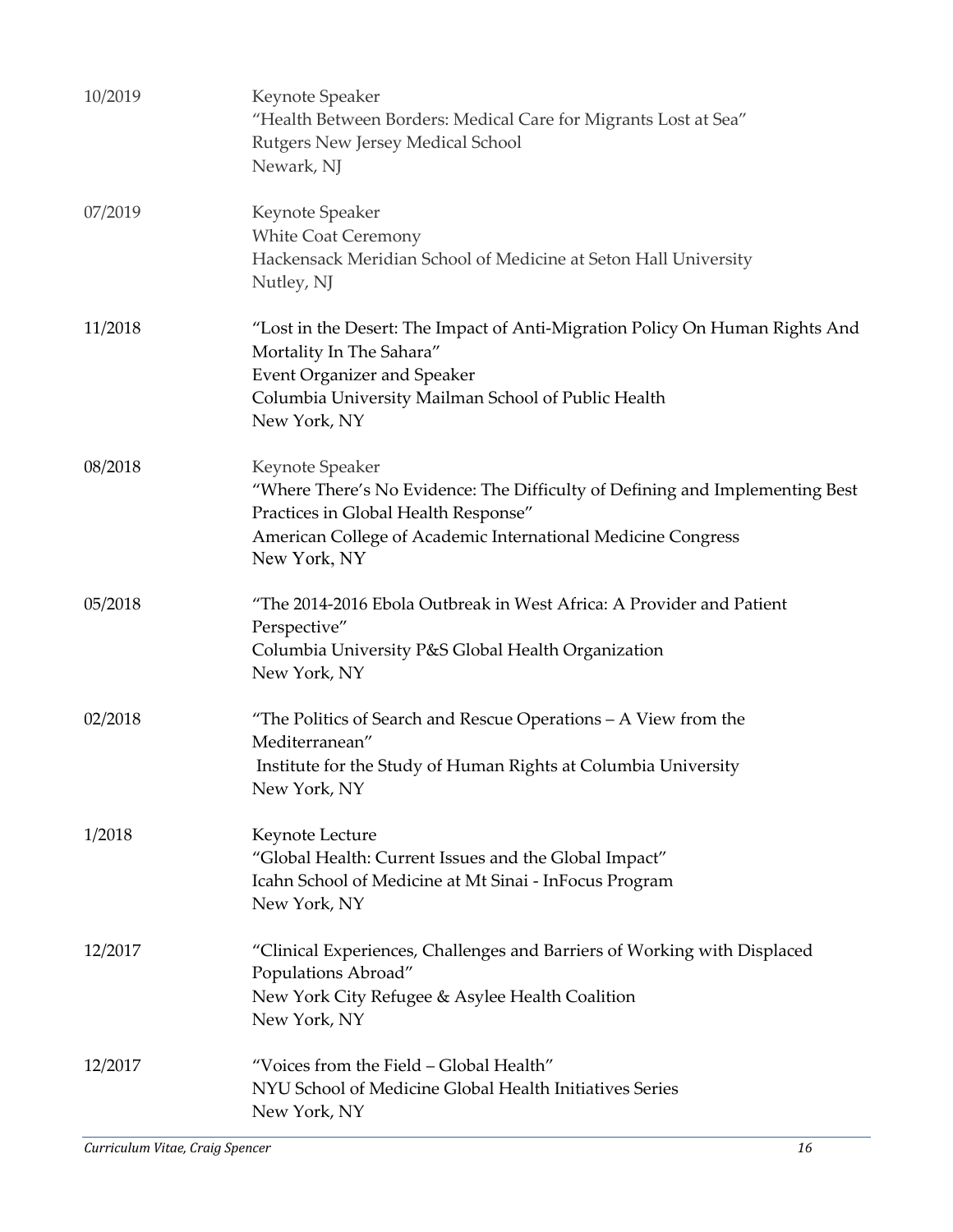| 10/2019 | Keynote Speaker<br>"Health Between Borders: Medical Care for Migrants Lost at Sea"<br>Rutgers New Jersey Medical School<br>Newark, NJ                                                                                   |
|---------|-------------------------------------------------------------------------------------------------------------------------------------------------------------------------------------------------------------------------|
| 07/2019 | Keynote Speaker<br><b>White Coat Ceremony</b><br>Hackensack Meridian School of Medicine at Seton Hall University<br>Nutley, NJ                                                                                          |
| 11/2018 | "Lost in the Desert: The Impact of Anti-Migration Policy On Human Rights And<br>Mortality In The Sahara"<br><b>Event Organizer and Speaker</b><br>Columbia University Mailman School of Public Health<br>New York, NY   |
| 08/2018 | Keynote Speaker<br>"Where There's No Evidence: The Difficulty of Defining and Implementing Best<br>Practices in Global Health Response"<br>American College of Academic International Medicine Congress<br>New York, NY |
| 05/2018 | "The 2014-2016 Ebola Outbreak in West Africa: A Provider and Patient<br>Perspective"<br>Columbia University P&S Global Health Organization<br>New York, NY                                                              |
| 02/2018 | "The Politics of Search and Rescue Operations - A View from the<br>Mediterranean"<br>Institute for the Study of Human Rights at Columbia University<br>New York, NY                                                     |
| 1/2018  | Keynote Lecture<br>"Global Health: Current Issues and the Global Impact"<br>Icahn School of Medicine at Mt Sinai - InFocus Program<br>New York, NY                                                                      |
| 12/2017 | "Clinical Experiences, Challenges and Barriers of Working with Displaced<br>Populations Abroad"<br>New York City Refugee & Asylee Health Coalition<br>New York, NY                                                      |
| 12/2017 | "Voices from the Field - Global Health"<br>NYU School of Medicine Global Health Initiatives Series<br>New York, NY                                                                                                      |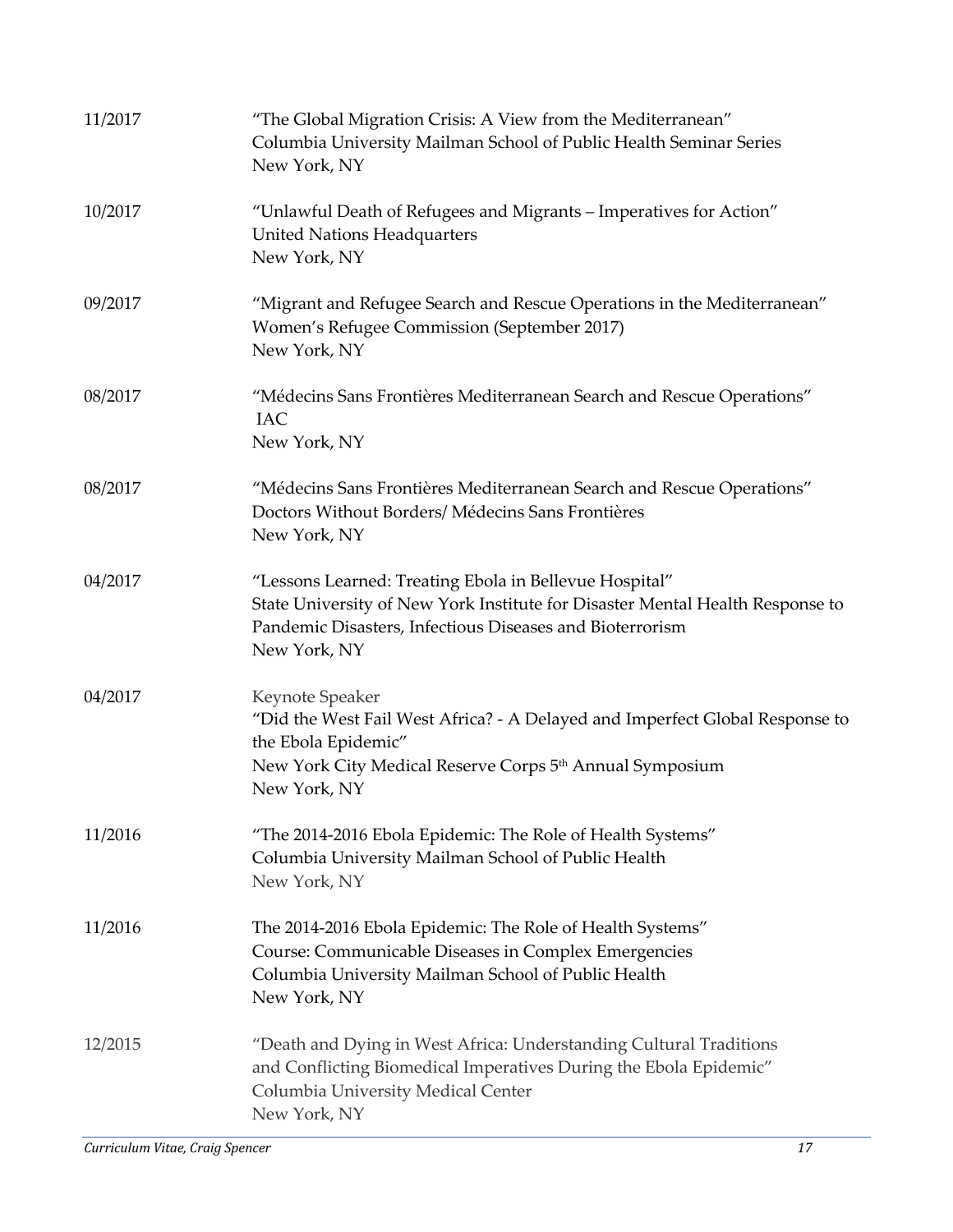| 11/2017 | "The Global Migration Crisis: A View from the Mediterranean"<br>Columbia University Mailman School of Public Health Seminar Series<br>New York, NY                                                                  |
|---------|---------------------------------------------------------------------------------------------------------------------------------------------------------------------------------------------------------------------|
| 10/2017 | "Unlawful Death of Refugees and Migrants - Imperatives for Action"<br><b>United Nations Headquarters</b><br>New York, NY                                                                                            |
| 09/2017 | "Migrant and Refugee Search and Rescue Operations in the Mediterranean"<br>Women's Refugee Commission (September 2017)<br>New York, NY                                                                              |
| 08/2017 | "Médecins Sans Frontières Mediterranean Search and Rescue Operations"<br><b>IAC</b><br>New York, NY                                                                                                                 |
| 08/2017 | "Médecins Sans Frontières Mediterranean Search and Rescue Operations"<br>Doctors Without Borders/ Médecins Sans Frontières<br>New York, NY                                                                          |
| 04/2017 | "Lessons Learned: Treating Ebola in Bellevue Hospital"<br>State University of New York Institute for Disaster Mental Health Response to<br>Pandemic Disasters, Infectious Diseases and Bioterrorism<br>New York, NY |
| 04/2017 | Keynote Speaker<br>"Did the West Fail West Africa? - A Delayed and Imperfect Global Response to<br>the Ebola Epidemic"<br>New York City Medical Reserve Corps 5 <sup>th</sup> Annual Symposium<br>New York, NY      |
| 11/2016 | "The 2014-2016 Ebola Epidemic: The Role of Health Systems"<br>Columbia University Mailman School of Public Health<br>New York, NY                                                                                   |
| 11/2016 | The 2014-2016 Ebola Epidemic: The Role of Health Systems"<br>Course: Communicable Diseases in Complex Emergencies<br>Columbia University Mailman School of Public Health<br>New York, NY                            |
| 12/2015 | "Death and Dying in West Africa: Understanding Cultural Traditions<br>and Conflicting Biomedical Imperatives During the Ebola Epidemic"<br>Columbia University Medical Center<br>New York, NY                       |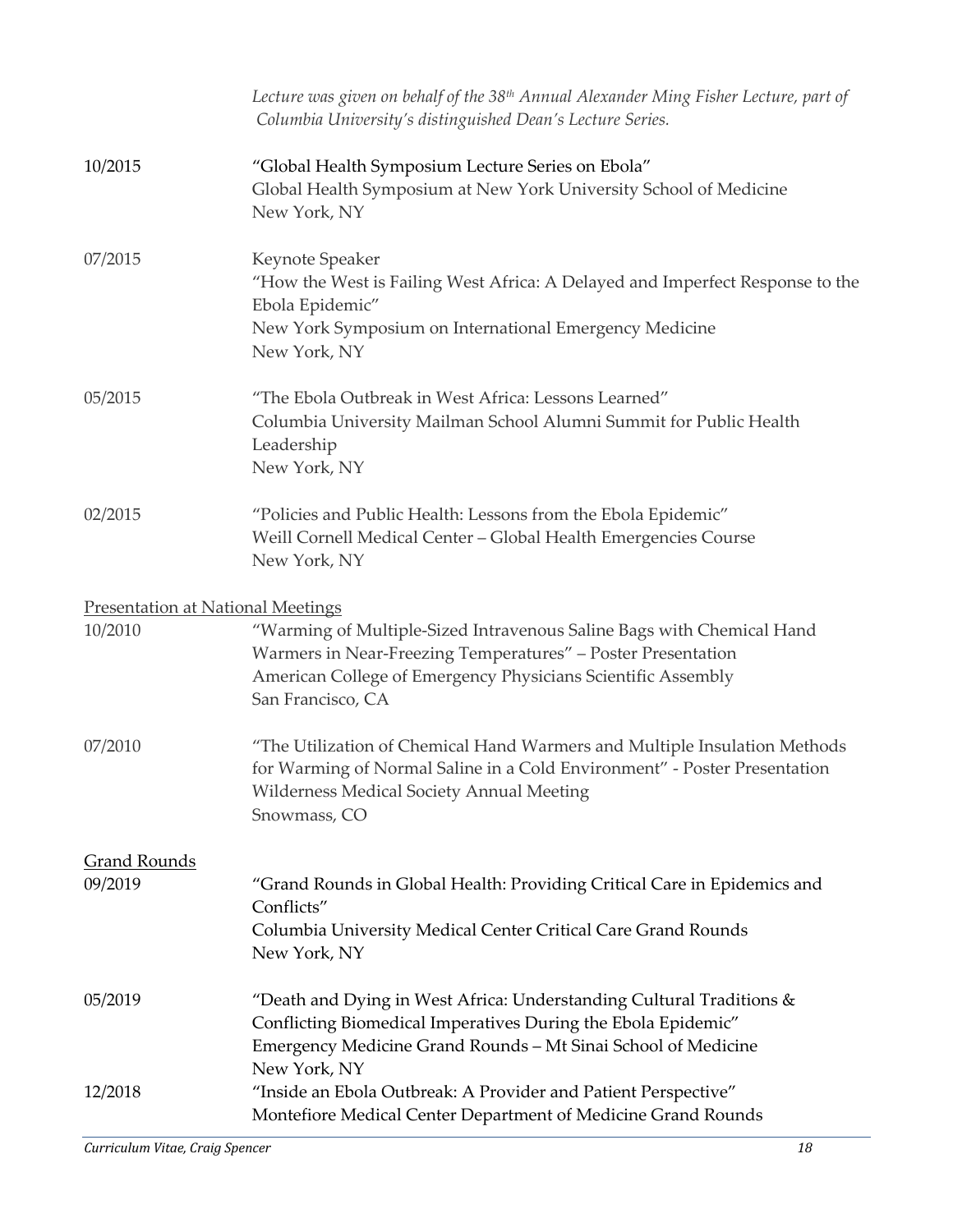|                                          | Lecture was given on behalf of the 38 <sup>th</sup> Annual Alexander Ming Fisher Lecture, part of<br>Columbia University's distinguished Dean's Lecture Series.                                                            |
|------------------------------------------|----------------------------------------------------------------------------------------------------------------------------------------------------------------------------------------------------------------------------|
| 10/2015                                  | "Global Health Symposium Lecture Series on Ebola"<br>Global Health Symposium at New York University School of Medicine<br>New York, NY                                                                                     |
| 07/2015                                  | Keynote Speaker<br>"How the West is Failing West Africa: A Delayed and Imperfect Response to the<br>Ebola Epidemic"<br>New York Symposium on International Emergency Medicine<br>New York, NY                              |
| 05/2015                                  | "The Ebola Outbreak in West Africa: Lessons Learned"<br>Columbia University Mailman School Alumni Summit for Public Health<br>Leadership<br>New York, NY                                                                   |
| 02/2015                                  | "Policies and Public Health: Lessons from the Ebola Epidemic"<br>Weill Cornell Medical Center - Global Health Emergencies Course<br>New York, NY                                                                           |
| <b>Presentation at National Meetings</b> |                                                                                                                                                                                                                            |
| 10/2010                                  | "Warming of Multiple-Sized Intravenous Saline Bags with Chemical Hand<br>Warmers in Near-Freezing Temperatures" - Poster Presentation<br>American College of Emergency Physicians Scientific Assembly<br>San Francisco, CA |
| 07/2010                                  | "The Utilization of Chemical Hand Warmers and Multiple Insulation Methods<br>for Warming of Normal Saline in a Cold Environment" - Poster Presentation<br><b>Wilderness Medical Society Annual Meeting</b><br>Snowmass, CO |
| <b>Grand Rounds</b>                      |                                                                                                                                                                                                                            |
| 09/2019                                  | "Grand Rounds in Global Health: Providing Critical Care in Epidemics and<br>Conflicts"<br>Columbia University Medical Center Critical Care Grand Rounds<br>New York, NY                                                    |
| 05/2019                                  | "Death and Dying in West Africa: Understanding Cultural Traditions $\&$<br>Conflicting Biomedical Imperatives During the Ebola Epidemic"<br>Emergency Medicine Grand Rounds - Mt Sinai School of Medicine<br>New York, NY  |
| 12/2018                                  | "Inside an Ebola Outbreak: A Provider and Patient Perspective"<br>Montefiore Medical Center Department of Medicine Grand Rounds                                                                                            |

*Curriculum Vitae, Craig Spencer 18*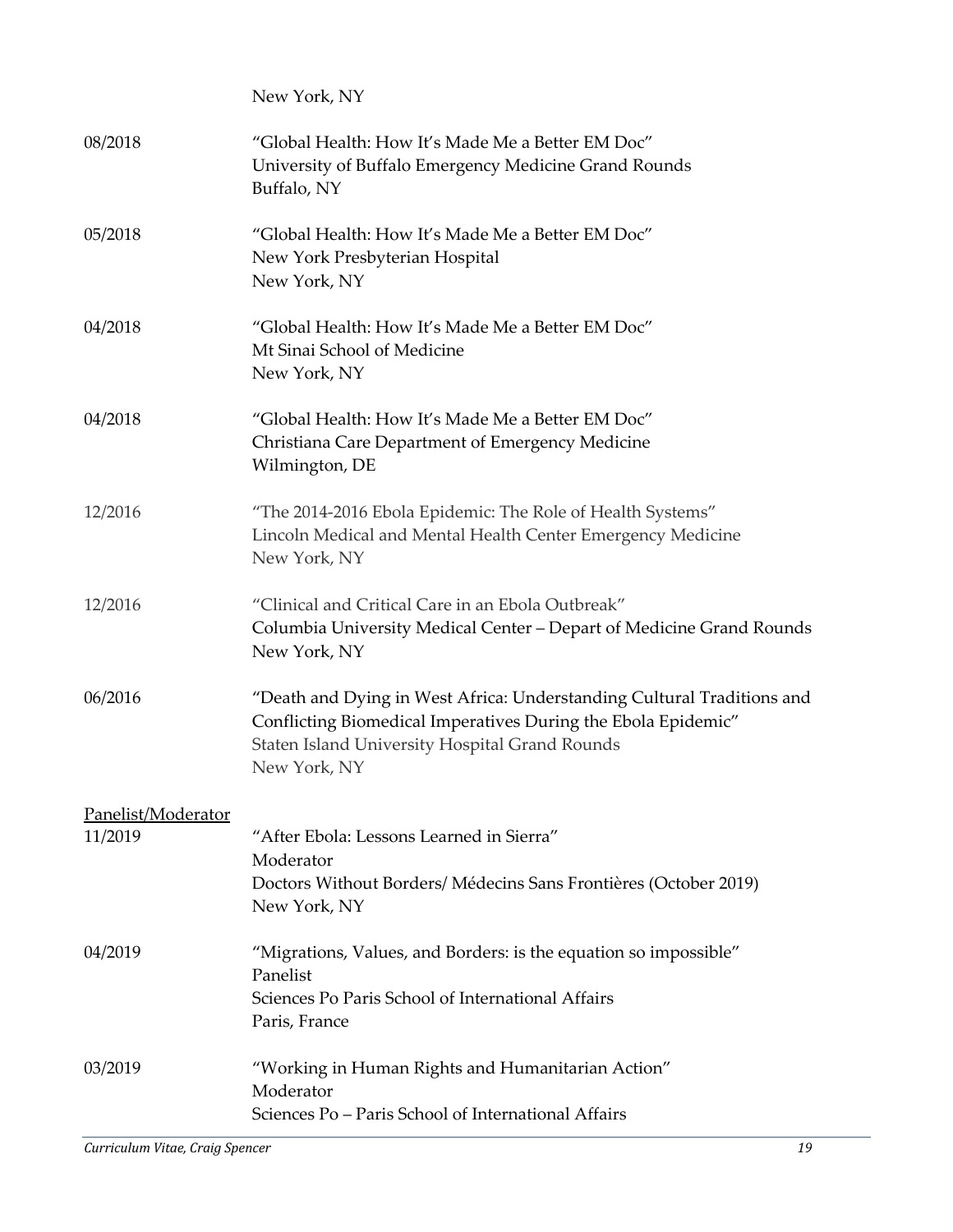|                    | New York, NY                                                                                                                                                                                              |
|--------------------|-----------------------------------------------------------------------------------------------------------------------------------------------------------------------------------------------------------|
| 08/2018            | "Global Health: How It's Made Me a Better EM Doc"<br>University of Buffalo Emergency Medicine Grand Rounds<br>Buffalo, NY                                                                                 |
| 05/2018            | "Global Health: How It's Made Me a Better EM Doc"<br>New York Presbyterian Hospital<br>New York, NY                                                                                                       |
| 04/2018            | "Global Health: How It's Made Me a Better EM Doc"<br>Mt Sinai School of Medicine<br>New York, NY                                                                                                          |
| 04/2018            | "Global Health: How It's Made Me a Better EM Doc"<br>Christiana Care Department of Emergency Medicine<br>Wilmington, DE                                                                                   |
| 12/2016            | "The 2014-2016 Ebola Epidemic: The Role of Health Systems"<br>Lincoln Medical and Mental Health Center Emergency Medicine<br>New York, NY                                                                 |
| 12/2016            | "Clinical and Critical Care in an Ebola Outbreak"<br>Columbia University Medical Center – Depart of Medicine Grand Rounds<br>New York, NY                                                                 |
| 06/2016            | "Death and Dying in West Africa: Understanding Cultural Traditions and<br>Conflicting Biomedical Imperatives During the Ebola Epidemic"<br>Staten Island University Hospital Grand Rounds<br>New York, NY |
| Panelist/Moderator |                                                                                                                                                                                                           |
| 11/2019            | "After Ebola: Lessons Learned in Sierra"                                                                                                                                                                  |
|                    | Moderator<br>Doctors Without Borders/ Médecins Sans Frontières (October 2019)<br>New York, NY                                                                                                             |
| 04/2019            | "Migrations, Values, and Borders: is the equation so impossible"<br>Panelist                                                                                                                              |
|                    | Sciences Po Paris School of International Affairs<br>Paris, France                                                                                                                                        |
| 03/2019            | "Working in Human Rights and Humanitarian Action"<br>Moderator<br>Sciences Po - Paris School of International Affairs                                                                                     |